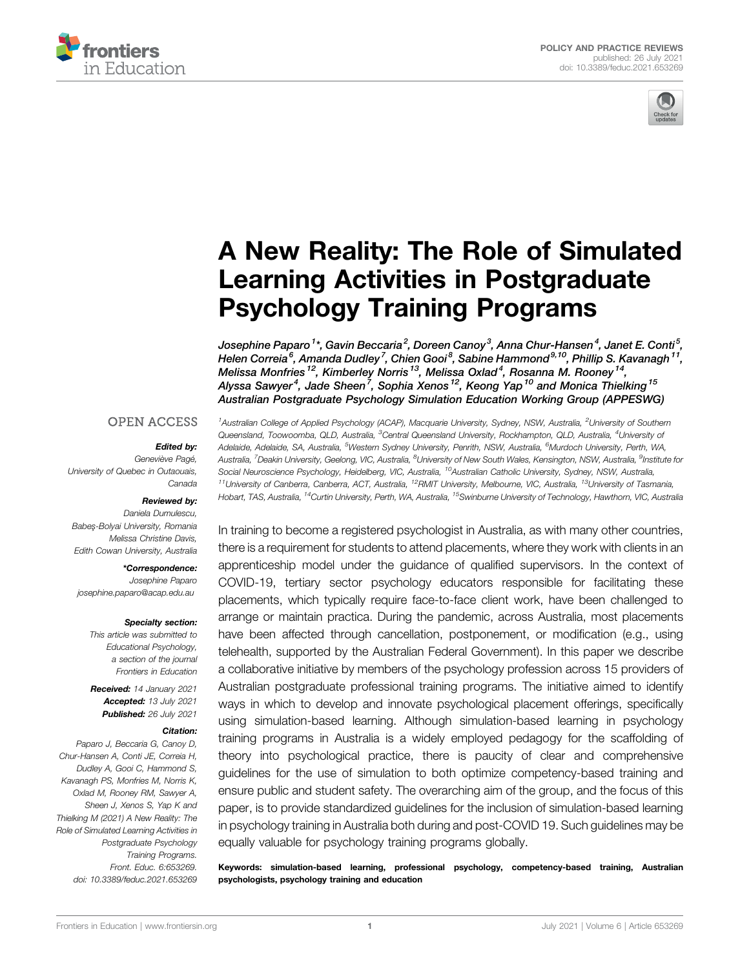



# [A New Reality: The Role of Simulated](https://www.frontiersin.org/articles/10.3389/feduc.2021.653269/full) [Learning Activities in Postgraduate](https://www.frontiersin.org/articles/10.3389/feduc.2021.653269/full) [Psychology Training Programs](https://www.frontiersin.org/articles/10.3389/feduc.2021.653269/full)

Josephine Paparo <sup>1</sup>\*, Gavin Beccaria <sup>2</sup>, Doreen Canoy  $^3$ , Anna Chur-Hansen  $^4$ , Janet E. Conti  $^5$ , Helen Correia<sup>6</sup>, Amanda Dudley<sup>7</sup>, Chien Gooi<sup>8</sup>, Sabine Hammond<sup>9,10</sup>, Phillip S. Kavanagh<sup>11</sup>, Melissa Monfries<sup>12</sup>, Kimberley Norris<sup>13</sup>, Melissa Oxlad<sup>4</sup>, Rosanna M. Rooney<sup>14</sup>, Alyssa Sawyer<sup>4</sup>, Jade Sheen<sup>7</sup>, Sophia Xenos<sup>12</sup>, Keong Yap<sup>10</sup> and Monica Thielking<sup>15</sup> Australian Postgraduate Psychology Simulation Education Working Group (APPESWG)

#### **OPEN ACCESS**

#### Edited by:

Geneviève Pagé, University of Quebec in Outaouais, Canada

#### Reviewed by:

Daniela Dumulescu, Babeş-Bolyai University, Romania Melissa Christine Davis, Edith Cowan University, Australia

\*Correspondence: Josephine Paparo [josephine.paparo@acap.edu.au](mailto:josephine.paparo@acap.edu.au)

Specialty section:

This article was submitted to Educational Psychology, a section of the journal Frontiers in Education

Received: 14 January 2021 Accepted: 13 July 2021 Published: 26 July 2021

#### Citation:

Paparo J, Beccaria G, Canoy D, Chur-Hansen A, Conti JE, Correia H, Dudley A, Gooi C, Hammond S, Kavanagh PS, Monfries M, Norris K, Oxlad M, Rooney RM, Sawyer A, Sheen J, Xenos S, Yap K and Thielking M (2021) A New Reality: The Role of Simulated Learning Activities in Postgraduate Psychology Training Programs. Front. Educ. 6:653269. doi: [10.3389/feduc.2021.653269](https://doi.org/10.3389/feduc.2021.653269)

<sup>1</sup>Australian College of Applied Psychology (ACAP), Macquarie University, Sydney, NSW, Australia, <sup>2</sup>University of Southern Queensland, Toowoomba, QLD, Australia, <sup>3</sup>Central Queensland University, Rockhampton, QLD, Australia, <sup>4</sup>University oi Adelaide, Adelaide, SA, Australia, <sup>5</sup>Western Sydney University, Penrith, NSW, Australia, <sup>6</sup>Murdoch University, Perth, WA, Australia, <sup>7</sup>Deakin University, Geelong, VIC, Australia, <sup>s</sup>University of New South Wales, Kensington, NSW, Australia, <sup>9</sup>Institute for Social Neuroscience Psychology, Heidelberg, VIC, Australia, <sup>10</sup>Australian Catholic University, Sydney, NSW, Australia,  $11$ University of Canberra, Canberra, ACT, Australia,  $12$ RMIT University, Melbourne, VIC, Australia,  $13$ University of Tasmania, Hobart, TAS, Australia, <sup>14</sup>Curtin University, Perth, WA, Australia, <sup>15</sup>Swinburne University of Technology, Hawthorn, VIC, Australia

In training to become a registered psychologist in Australia, as with many other countries, there is a requirement for students to attend placements, where they work with clients in an apprenticeship model under the guidance of qualified supervisors. In the context of COVID-19, tertiary sector psychology educators responsible for facilitating these placements, which typically require face-to-face client work, have been challenged to arrange or maintain practica. During the pandemic, across Australia, most placements have been affected through cancellation, postponement, or modification (e.g., using telehealth, supported by the Australian Federal Government). In this paper we describe a collaborative initiative by members of the psychology profession across 15 providers of Australian postgraduate professional training programs. The initiative aimed to identify ways in which to develop and innovate psychological placement offerings, specifically using simulation-based learning. Although simulation-based learning in psychology training programs in Australia is a widely employed pedagogy for the scaffolding of theory into psychological practice, there is paucity of clear and comprehensive guidelines for the use of simulation to both optimize competency-based training and ensure public and student safety. The overarching aim of the group, and the focus of this paper, is to provide standardized guidelines for the inclusion of simulation-based learning in psychology training in Australia both during and post-COVID 19. Such guidelines may be equally valuable for psychology training programs globally.

Keywords: simulation-based learning, professional psychology, competency-based training, Australian psychologists, psychology training and education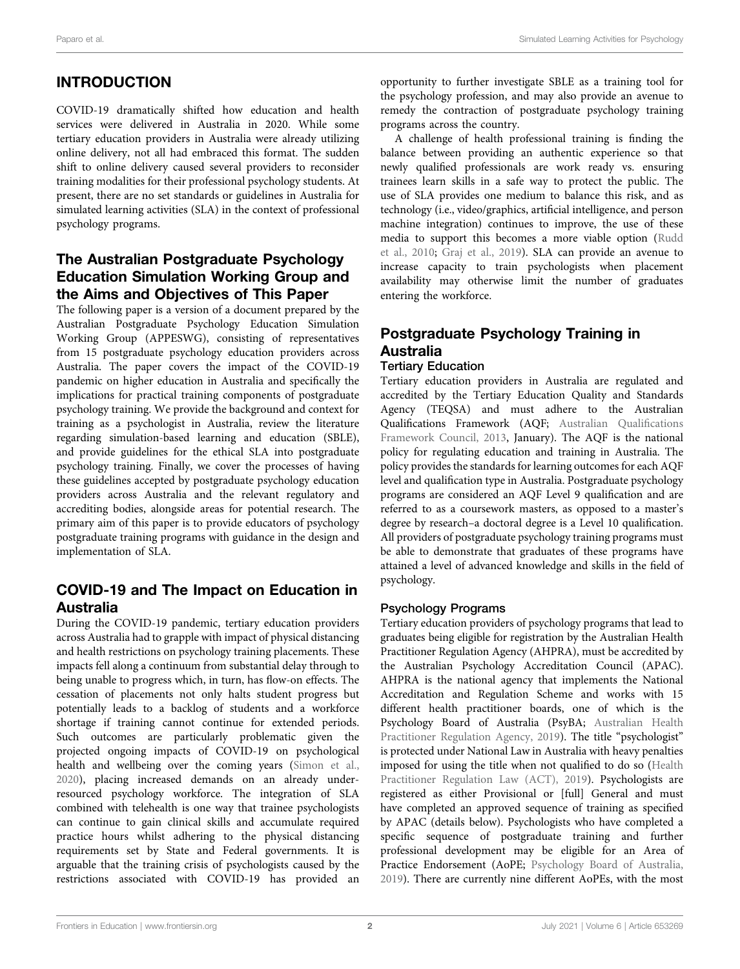# INTRODUCTION

COVID-19 dramatically shifted how education and health services were delivered in Australia in 2020. While some tertiary education providers in Australia were already utilizing online delivery, not all had embraced this format. The sudden shift to online delivery caused several providers to reconsider training modalities for their professional psychology students. At present, there are no set standards or guidelines in Australia for simulated learning activities (SLA) in the context of professional psychology programs.

### The Australian Postgraduate Psychology Education Simulation Working Group and the Aims and Objectives of This Paper

The following paper is a version of a document prepared by the Australian Postgraduate Psychology Education Simulation Working Group (APPESWG), consisting of representatives from 15 postgraduate psychology education providers across Australia. The paper covers the impact of the COVID-19 pandemic on higher education in Australia and specifically the implications for practical training components of postgraduate psychology training. We provide the background and context for training as a psychologist in Australia, review the literature regarding simulation-based learning and education (SBLE), and provide guidelines for the ethical SLA into postgraduate psychology training. Finally, we cover the processes of having these guidelines accepted by postgraduate psychology education providers across Australia and the relevant regulatory and accrediting bodies, alongside areas for potential research. The primary aim of this paper is to provide educators of psychology postgraduate training programs with guidance in the design and implementation of SLA.

# COVID-19 and The Impact on Education in Australia

During the COVID-19 pandemic, tertiary education providers across Australia had to grapple with impact of physical distancing and health restrictions on psychology training placements. These impacts fell along a continuum from substantial delay through to being unable to progress which, in turn, has flow-on effects. The cessation of placements not only halts student progress but potentially leads to a backlog of students and a workforce shortage if training cannot continue for extended periods. Such outcomes are particularly problematic given the projected ongoing impacts of COVID-19 on psychological health and wellbeing over the coming years [\(Simon et al.,](#page-15-0) [2020](#page-15-0)), placing increased demands on an already underresourced psychology workforce. The integration of SLA combined with telehealth is one way that trainee psychologists can continue to gain clinical skills and accumulate required practice hours whilst adhering to the physical distancing requirements set by State and Federal governments. It is arguable that the training crisis of psychologists caused by the restrictions associated with COVID-19 has provided an

opportunity to further investigate SBLE as a training tool for the psychology profession, and may also provide an avenue to remedy the contraction of postgraduate psychology training programs across the country.

A challenge of health professional training is finding the balance between providing an authentic experience so that newly qualified professionals are work ready vs. ensuring trainees learn skills in a safe way to protect the public. The use of SLA provides one medium to balance this risk, and as technology (i.e., video/graphics, artificial intelligence, and person machine integration) continues to improve, the use of these media to support this becomes a more viable option [\(Rudd](#page-15-1) [et al., 2010;](#page-15-1) [Graj et al., 2019\)](#page-15-2). SLA can provide an avenue to increase capacity to train psychologists when placement availability may otherwise limit the number of graduates entering the workforce.

# Postgraduate Psychology Training in Australia

### Tertiary Education

Tertiary education providers in Australia are regulated and accredited by the Tertiary Education Quality and Standards Agency (TEQSA) and must adhere to the Australian Qualifications Framework (AQF; [Australian Quali](#page-14-0)fications [Framework Council, 2013](#page-14-0), January). The AQF is the national policy for regulating education and training in Australia. The policy provides the standards for learning outcomes for each AQF level and qualification type in Australia. Postgraduate psychology programs are considered an AQF Level 9 qualification and are referred to as a coursework masters, as opposed to a master's degree by research–a doctoral degree is a Level 10 qualification. All providers of postgraduate psychology training programs must be able to demonstrate that graduates of these programs have attained a level of advanced knowledge and skills in the field of psychology.

### Psychology Programs

Tertiary education providers of psychology programs that lead to graduates being eligible for registration by the Australian Health Practitioner Regulation Agency (AHPRA), must be accredited by the Australian Psychology Accreditation Council (APAC). AHPRA is the national agency that implements the National Accreditation and Regulation Scheme and works with 15 different health practitioner boards, one of which is the Psychology Board of Australia (PsyBA; [Australian Health](#page-14-1) [Practitioner Regulation Agency, 2019\)](#page-14-1). The title "psychologist" is protected under National Law in Australia with heavy penalties imposed for using the title when not qualified to do so [\(Health](#page-15-3) [Practitioner Regulation Law \(ACT\), 2019\)](#page-15-3). Psychologists are registered as either Provisional or [full] General and must have completed an approved sequence of training as specified by APAC (details below). Psychologists who have completed a specific sequence of postgraduate training and further professional development may be eligible for an Area of Practice Endorsement (AoPE; [Psychology Board of Australia,](#page-15-4) [2019](#page-15-4)). There are currently nine different AoPEs, with the most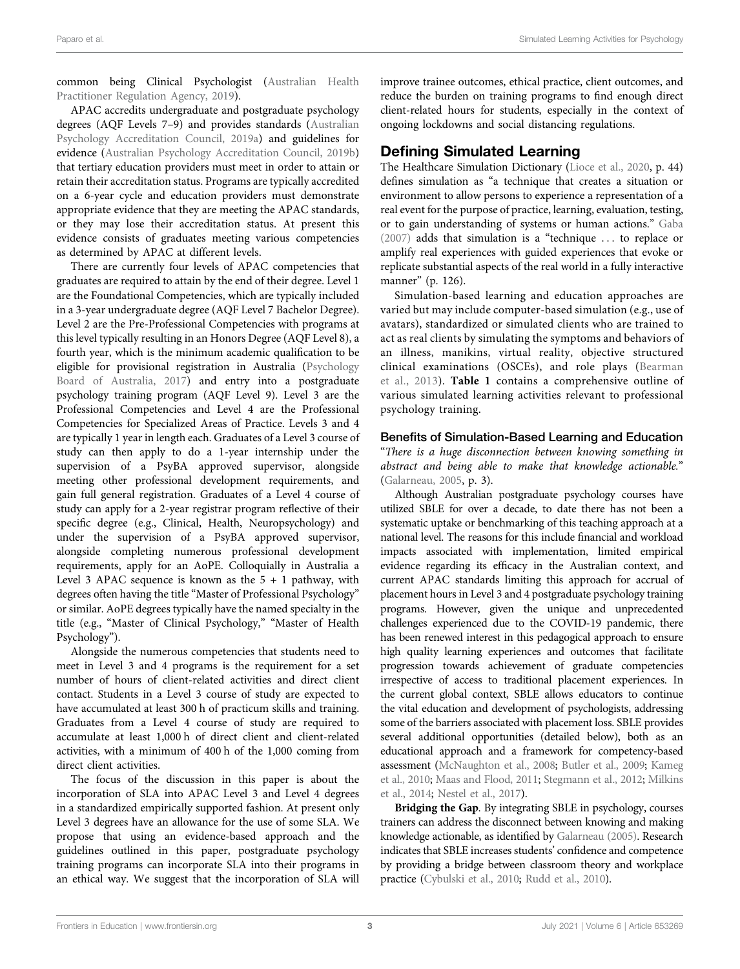common being Clinical Psychologist [\(Australian Health](#page-14-1) [Practitioner Regulation Agency, 2019\)](#page-14-1).

APAC accredits undergraduate and postgraduate psychology degrees (AQF Levels 7–9) and provides standards ([Australian](#page-14-2) [Psychology Accreditation Council, 2019a](#page-14-2)) and guidelines for evidence ([Australian Psychology Accreditation Council, 2019b\)](#page-14-3) that tertiary education providers must meet in order to attain or retain their accreditation status. Programs are typically accredited on a 6-year cycle and education providers must demonstrate appropriate evidence that they are meeting the APAC standards, or they may lose their accreditation status. At present this evidence consists of graduates meeting various competencies as determined by APAC at different levels.

There are currently four levels of APAC competencies that graduates are required to attain by the end of their degree. Level 1 are the Foundational Competencies, which are typically included in a 3-year undergraduate degree (AQF Level 7 Bachelor Degree). Level 2 are the Pre-Professional Competencies with programs at this level typically resulting in an Honors Degree (AQF Level 8), a fourth year, which is the minimum academic qualification to be eligible for provisional registration in Australia ([Psychology](#page-15-5) [Board of Australia, 2017](#page-15-5)) and entry into a postgraduate psychology training program (AQF Level 9). Level 3 are the Professional Competencies and Level 4 are the Professional Competencies for Specialized Areas of Practice. Levels 3 and 4 are typically 1 year in length each. Graduates of a Level 3 course of study can then apply to do a 1-year internship under the supervision of a PsyBA approved supervisor, alongside meeting other professional development requirements, and gain full general registration. Graduates of a Level 4 course of study can apply for a 2-year registrar program reflective of their specific degree (e.g., Clinical, Health, Neuropsychology) and under the supervision of a PsyBA approved supervisor, alongside completing numerous professional development requirements, apply for an AoPE. Colloquially in Australia a Level 3 APAC sequence is known as the  $5 + 1$  pathway, with degrees often having the title "Master of Professional Psychology" or similar. AoPE degrees typically have the named specialty in the title (e.g., "Master of Clinical Psychology," "Master of Health Psychology").

Alongside the numerous competencies that students need to meet in Level 3 and 4 programs is the requirement for a set number of hours of client-related activities and direct client contact. Students in a Level 3 course of study are expected to have accumulated at least 300 h of practicum skills and training. Graduates from a Level 4 course of study are required to accumulate at least 1,000 h of direct client and client-related activities, with a minimum of 400 h of the 1,000 coming from direct client activities.

The focus of the discussion in this paper is about the incorporation of SLA into APAC Level 3 and Level 4 degrees in a standardized empirically supported fashion. At present only Level 3 degrees have an allowance for the use of some SLA. We propose that using an evidence-based approach and the guidelines outlined in this paper, postgraduate psychology training programs can incorporate SLA into their programs in an ethical way. We suggest that the incorporation of SLA will

improve trainee outcomes, ethical practice, client outcomes, and reduce the burden on training programs to find enough direct client-related hours for students, especially in the context of ongoing lockdowns and social distancing regulations.

# Defining Simulated Learning

The Healthcare Simulation Dictionary [\(Lioce et al., 2020,](#page-15-6) p. 44) defines simulation as "a technique that creates a situation or environment to allow persons to experience a representation of a real event for the purpose of practice, learning, evaluation, testing, or to gain understanding of systems or human actions." [Gaba](#page-15-7) [\(2007\)](#page-15-7) adds that simulation is a "technique ... to replace or amplify real experiences with guided experiences that evoke or replicate substantial aspects of the real world in a fully interactive manner" (p. 126).

Simulation-based learning and education approaches are varied but may include computer-based simulation (e.g., use of avatars), standardized or simulated clients who are trained to act as real clients by simulating the symptoms and behaviors of an illness, manikins, virtual reality, objective structured clinical examinations (OSCEs), and role plays ([Bearman](#page-14-4) [et al., 2013\)](#page-14-4). [Table 1](#page-3-0) contains a comprehensive outline of various simulated learning activities relevant to professional psychology training.

#### Benefits of Simulation-Based Learning and Education

"There is a huge disconnection between knowing something in abstract and being able to make that knowledge actionable." [\(Galarneau, 2005,](#page-15-8) p. 3).

Although Australian postgraduate psychology courses have utilized SBLE for over a decade, to date there has not been a systematic uptake or benchmarking of this teaching approach at a national level. The reasons for this include financial and workload impacts associated with implementation, limited empirical evidence regarding its efficacy in the Australian context, and current APAC standards limiting this approach for accrual of placement hours in Level 3 and 4 postgraduate psychology training programs. However, given the unique and unprecedented challenges experienced due to the COVID-19 pandemic, there has been renewed interest in this pedagogical approach to ensure high quality learning experiences and outcomes that facilitate progression towards achievement of graduate competencies irrespective of access to traditional placement experiences. In the current global context, SBLE allows educators to continue the vital education and development of psychologists, addressing some of the barriers associated with placement loss. SBLE provides several additional opportunities (detailed below), both as an educational approach and a framework for competency-based assessment [\(McNaughton et al., 2008;](#page-15-9) [Butler et al., 2009;](#page-14-5) [Kameg](#page-15-10) [et al., 2010;](#page-15-10) [Maas and Flood, 2011](#page-15-11); [Stegmann et al., 2012](#page-16-0); [Milkins](#page-15-12) [et al., 2014](#page-15-12); [Nestel et al., 2017](#page-15-13)).

Bridging the Gap. By integrating SBLE in psychology, courses trainers can address the disconnect between knowing and making knowledge actionable, as identified by [Galarneau \(2005\).](#page-15-8) Research indicates that SBLE increases students' confidence and competence by providing a bridge between classroom theory and workplace practice [\(Cybulski et al., 2010;](#page-14-6) [Rudd et al., 2010](#page-15-1)).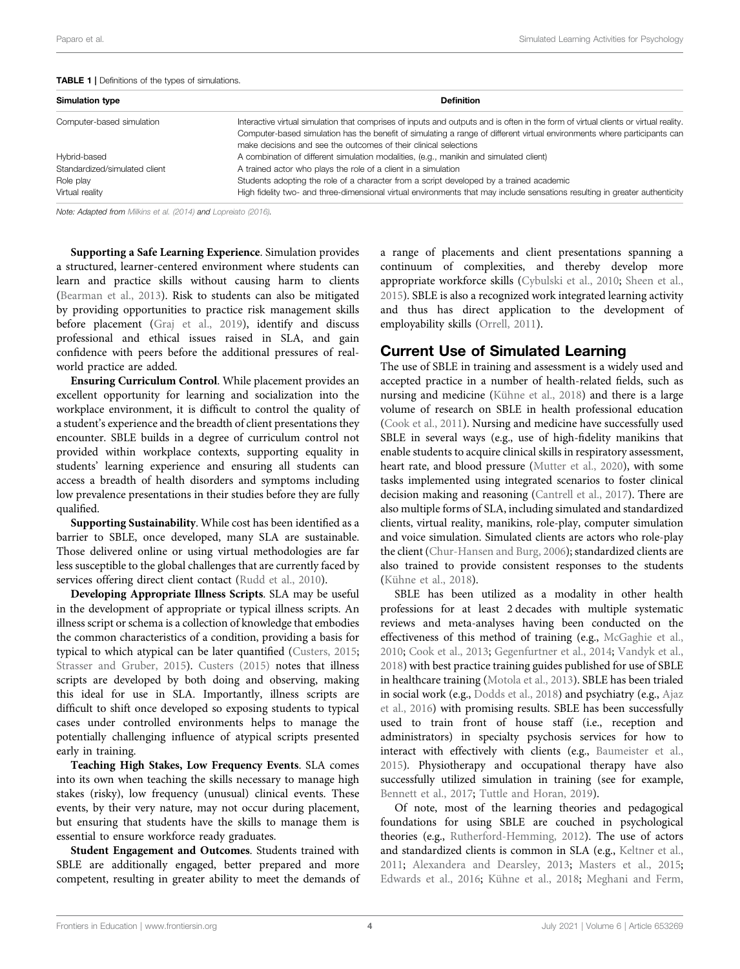<span id="page-3-0"></span>

| <b>TABLE 1</b>   Definitions of the types of simulations. |                                                                                                                                                                                                                                                                                                                                     |  |  |  |
|-----------------------------------------------------------|-------------------------------------------------------------------------------------------------------------------------------------------------------------------------------------------------------------------------------------------------------------------------------------------------------------------------------------|--|--|--|
| <b>Simulation type</b>                                    | <b>Definition</b>                                                                                                                                                                                                                                                                                                                   |  |  |  |
| Computer-based simulation                                 | Interactive virtual simulation that comprises of inputs and outputs and is often in the form of virtual clients or virtual reality.<br>Computer-based simulation has the benefit of simulating a range of different virtual environments where participants can<br>make decisions and see the outcomes of their clinical selections |  |  |  |
| Hybrid-based                                              | A combination of different simulation modalities, (e.g., manikin and simulated client)                                                                                                                                                                                                                                              |  |  |  |
| Standardized/simulated client                             | A trained actor who plays the role of a client in a simulation                                                                                                                                                                                                                                                                      |  |  |  |
| Role play                                                 | Students adopting the role of a character from a script developed by a trained academic                                                                                                                                                                                                                                             |  |  |  |
| Virtual reality                                           | High fidelity two- and three-dimensional virtual environments that may include sensations resulting in greater authenticity                                                                                                                                                                                                         |  |  |  |

Note: Adapted from [Milkins et al. \(2014\)](#page-15-12) and [Lopreiato \(2016\)](#page-15-27).

Supporting a Safe Learning Experience. Simulation provides a structured, learner-centered environment where students can learn and practice skills without causing harm to clients ([Bearman et al., 2013\)](#page-14-4). Risk to students can also be mitigated by providing opportunities to practice risk management skills before placement ([Graj et al., 2019](#page-15-2)), identify and discuss professional and ethical issues raised in SLA, and gain confidence with peers before the additional pressures of realworld practice are added.

Ensuring Curriculum Control. While placement provides an excellent opportunity for learning and socialization into the workplace environment, it is difficult to control the quality of a student's experience and the breadth of client presentations they encounter. SBLE builds in a degree of curriculum control not provided within workplace contexts, supporting equality in students' learning experience and ensuring all students can access a breadth of health disorders and symptoms including low prevalence presentations in their studies before they are fully qualified.

Supporting Sustainability. While cost has been identified as a barrier to SBLE, once developed, many SLA are sustainable. Those delivered online or using virtual methodologies are far less susceptible to the global challenges that are currently faced by services offering direct client contact ([Rudd et al., 2010](#page-15-1)).

Developing Appropriate Illness Scripts. SLA may be useful in the development of appropriate or typical illness scripts. An illness script or schema is a collection of knowledge that embodies the common characteristics of a condition, providing a basis for typical to which atypical can be later quantified [\(Custers, 2015](#page-14-7); [Strasser and Gruber, 2015\)](#page-16-1). [Custers \(2015\)](#page-14-7) notes that illness scripts are developed by both doing and observing, making this ideal for use in SLA. Importantly, illness scripts are difficult to shift once developed so exposing students to typical cases under controlled environments helps to manage the potentially challenging influence of atypical scripts presented early in training.

Teaching High Stakes, Low Frequency Events. SLA comes into its own when teaching the skills necessary to manage high stakes (risky), low frequency (unusual) clinical events. These events, by their very nature, may not occur during placement, but ensuring that students have the skills to manage them is essential to ensure workforce ready graduates.

Student Engagement and Outcomes. Students trained with SBLE are additionally engaged, better prepared and more competent, resulting in greater ability to meet the demands of a range of placements and client presentations spanning a continuum of complexities, and thereby develop more appropriate workforce skills ([Cybulski et al., 2010](#page-14-6); [Sheen et al.,](#page-15-14) [2015](#page-15-14)). SBLE is also a recognized work integrated learning activity and thus has direct application to the development of employability skills ([Orrell, 2011\)](#page-15-15).

### Current Use of Simulated Learning

The use of SBLE in training and assessment is a widely used and accepted practice in a number of health-related fields, such as nursing and medicine [\(Kühne et al., 2018](#page-15-16)) and there is a large volume of research on SBLE in health professional education [\(Cook et al., 2011](#page-14-8)). Nursing and medicine have successfully used SBLE in several ways (e.g., use of high-fidelity manikins that enable students to acquire clinical skills in respiratory assessment, heart rate, and blood pressure [\(Mutter et al., 2020](#page-15-17)), with some tasks implemented using integrated scenarios to foster clinical decision making and reasoning ([Cantrell et al., 2017](#page-14-9)). There are also multiple forms of SLA, including simulated and standardized clients, virtual reality, manikins, role-play, computer simulation and voice simulation. Simulated clients are actors who role-play the client [\(Chur-Hansen and Burg, 2006](#page-14-10)); standardized clients are also trained to provide consistent responses to the students [\(Kühne et al., 2018\)](#page-15-16).

SBLE has been utilized as a modality in other health professions for at least 2 decades with multiple systematic reviews and meta-analyses having been conducted on the effectiveness of this method of training (e.g., [McGaghie et al.,](#page-15-18) [2010](#page-15-18); [Cook et al., 2013](#page-14-11); [Gegenfurtner et al., 2014](#page-15-19); [Vandyk et al.,](#page-16-2) [2018](#page-16-2)) with best practice training guides published for use of SBLE in healthcare training [\(Motola et al., 2013](#page-15-20)). SBLE has been trialed in social work (e.g., [Dodds et al., 2018](#page-15-21)) and psychiatry (e.g., [Ajaz](#page-14-12) [et al., 2016](#page-14-12)) with promising results. SBLE has been successfully used to train front of house staff (i.e., reception and administrators) in specialty psychosis services for how to interact with effectively with clients (e.g., [Baumeister et al.,](#page-14-13) [2015](#page-14-13)). Physiotherapy and occupational therapy have also successfully utilized simulation in training (see for example, [Bennett et al., 2017;](#page-14-14) [Tuttle and Horan, 2019](#page-16-3)).

Of note, most of the learning theories and pedagogical foundations for using SBLE are couched in psychological theories (e.g., [Rutherford-Hemming, 2012](#page-15-22)). The use of actors and standardized clients is common in SLA (e.g., [Keltner et al.,](#page-15-23) [2011](#page-15-23); [Alexandera and Dearsley, 2013](#page-14-15); [Masters et al., 2015;](#page-15-24) [Edwards et al., 2016;](#page-15-25) [Kühne et al., 2018;](#page-15-16) [Meghani and Ferm,](#page-15-26)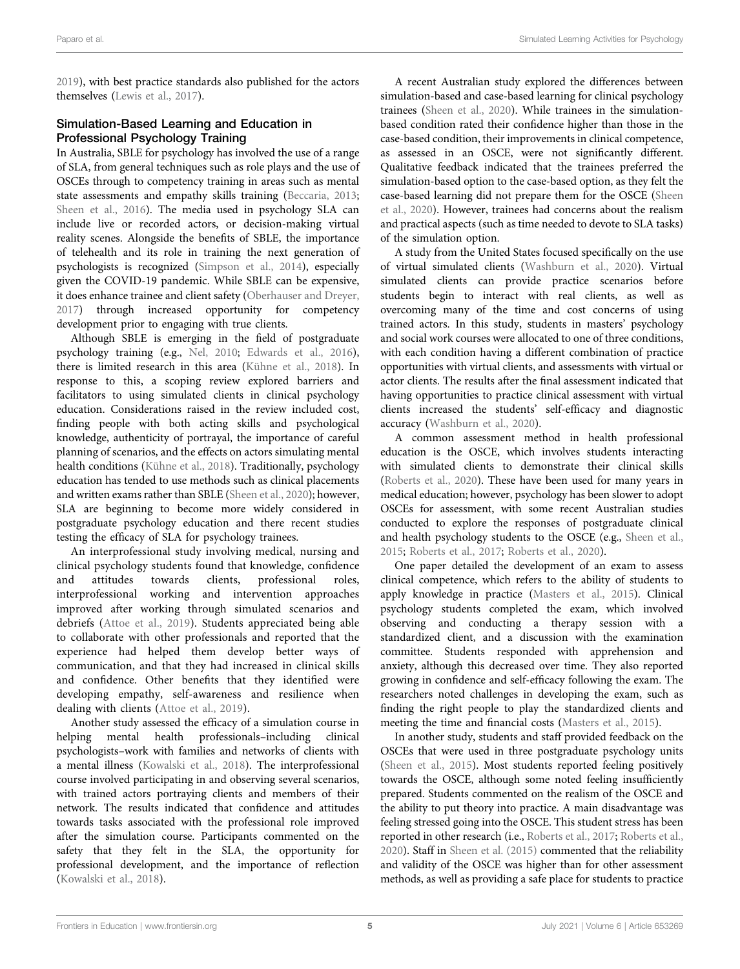[2019](#page-15-26)), with best practice standards also published for the actors themselves ([Lewis et al., 2017](#page-15-28)).

### Simulation-Based Learning and Education in Professional Psychology Training

In Australia, SBLE for psychology has involved the use of a range of SLA, from general techniques such as role plays and the use of OSCEs through to competency training in areas such as mental state assessments and empathy skills training [\(Beccaria, 2013](#page-14-16); [Sheen et al., 2016](#page-15-29)). The media used in psychology SLA can include live or recorded actors, or decision-making virtual reality scenes. Alongside the benefits of SBLE, the importance of telehealth and its role in training the next generation of psychologists is recognized ([Simpson et al., 2014](#page-15-30)), especially given the COVID-19 pandemic. While SBLE can be expensive, it does enhance trainee and client safety ([Oberhauser and Dreyer,](#page-15-31) [2017](#page-15-31)) through increased opportunity for competency development prior to engaging with true clients.

Although SBLE is emerging in the field of postgraduate psychology training (e.g., [Nel, 2010](#page-15-32); [Edwards et al., 2016\)](#page-15-25), there is limited research in this area ([Kühne et al., 2018](#page-15-16)). In response to this, a scoping review explored barriers and facilitators to using simulated clients in clinical psychology education. Considerations raised in the review included cost, finding people with both acting skills and psychological knowledge, authenticity of portrayal, the importance of careful planning of scenarios, and the effects on actors simulating mental health conditions ([Kühne et al., 2018](#page-15-16)). Traditionally, psychology education has tended to use methods such as clinical placements and written exams rather than SBLE ([Sheen et al., 2020](#page-15-33)); however, SLA are beginning to become more widely considered in postgraduate psychology education and there recent studies testing the efficacy of SLA for psychology trainees.

An interprofessional study involving medical, nursing and clinical psychology students found that knowledge, confidence and attitudes towards clients, professional roles, interprofessional working and intervention approaches improved after working through simulated scenarios and debriefs [\(Attoe et al., 2019](#page-14-17)). Students appreciated being able to collaborate with other professionals and reported that the experience had helped them develop better ways of communication, and that they had increased in clinical skills and confidence. Other benefits that they identified were developing empathy, self-awareness and resilience when dealing with clients [\(Attoe et al., 2019\)](#page-14-17).

Another study assessed the efficacy of a simulation course in helping mental health professionals–including clinical psychologists–work with families and networks of clients with a mental illness ([Kowalski et al., 2018](#page-15-34)). The interprofessional course involved participating in and observing several scenarios, with trained actors portraying clients and members of their network. The results indicated that confidence and attitudes towards tasks associated with the professional role improved after the simulation course. Participants commented on the safety that they felt in the SLA, the opportunity for professional development, and the importance of reflection ([Kowalski et al., 2018](#page-15-34)).

A recent Australian study explored the differences between simulation-based and case-based learning for clinical psychology trainees [\(Sheen et al., 2020](#page-15-33)). While trainees in the simulationbased condition rated their confidence higher than those in the case-based condition, their improvements in clinical competence, as assessed in an OSCE, were not significantly different. Qualitative feedback indicated that the trainees preferred the simulation-based option to the case-based option, as they felt the case-based learning did not prepare them for the OSCE [\(Sheen](#page-15-33) [et al., 2020](#page-15-33)). However, trainees had concerns about the realism and practical aspects (such as time needed to devote to SLA tasks) of the simulation option.

A study from the United States focused specifically on the use of virtual simulated clients [\(Washburn et al., 2020\)](#page-16-4). Virtual simulated clients can provide practice scenarios before students begin to interact with real clients, as well as overcoming many of the time and cost concerns of using trained actors. In this study, students in masters' psychology and social work courses were allocated to one of three conditions, with each condition having a different combination of practice opportunities with virtual clients, and assessments with virtual or actor clients. The results after the final assessment indicated that having opportunities to practice clinical assessment with virtual clients increased the students' self-efficacy and diagnostic accuracy [\(Washburn et al., 2020](#page-16-4)).

A common assessment method in health professional education is the OSCE, which involves students interacting with simulated clients to demonstrate their clinical skills [\(Roberts et al., 2020](#page-15-35)). These have been used for many years in medical education; however, psychology has been slower to adopt OSCEs for assessment, with some recent Australian studies conducted to explore the responses of postgraduate clinical and health psychology students to the OSCE (e.g., [Sheen et al.,](#page-15-14) [2015](#page-15-14); [Roberts et al., 2017](#page-15-36); [Roberts et al., 2020\)](#page-15-35).

One paper detailed the development of an exam to assess clinical competence, which refers to the ability of students to apply knowledge in practice [\(Masters et al., 2015](#page-15-24)). Clinical psychology students completed the exam, which involved observing and conducting a therapy session with a standardized client, and a discussion with the examination committee. Students responded with apprehension and anxiety, although this decreased over time. They also reported growing in confidence and self-efficacy following the exam. The researchers noted challenges in developing the exam, such as finding the right people to play the standardized clients and meeting the time and financial costs [\(Masters et al., 2015](#page-15-24)).

In another study, students and staff provided feedback on the OSCEs that were used in three postgraduate psychology units [\(Sheen et al., 2015\)](#page-15-14). Most students reported feeling positively towards the OSCE, although some noted feeling insufficiently prepared. Students commented on the realism of the OSCE and the ability to put theory into practice. A main disadvantage was feeling stressed going into the OSCE. This student stress has been reported in other research (i.e., [Roberts et al., 2017;](#page-15-36) [Roberts et al.,](#page-15-35) [2020](#page-15-35)). Staff in [Sheen et al. \(2015\)](#page-15-14) commented that the reliability and validity of the OSCE was higher than for other assessment methods, as well as providing a safe place for students to practice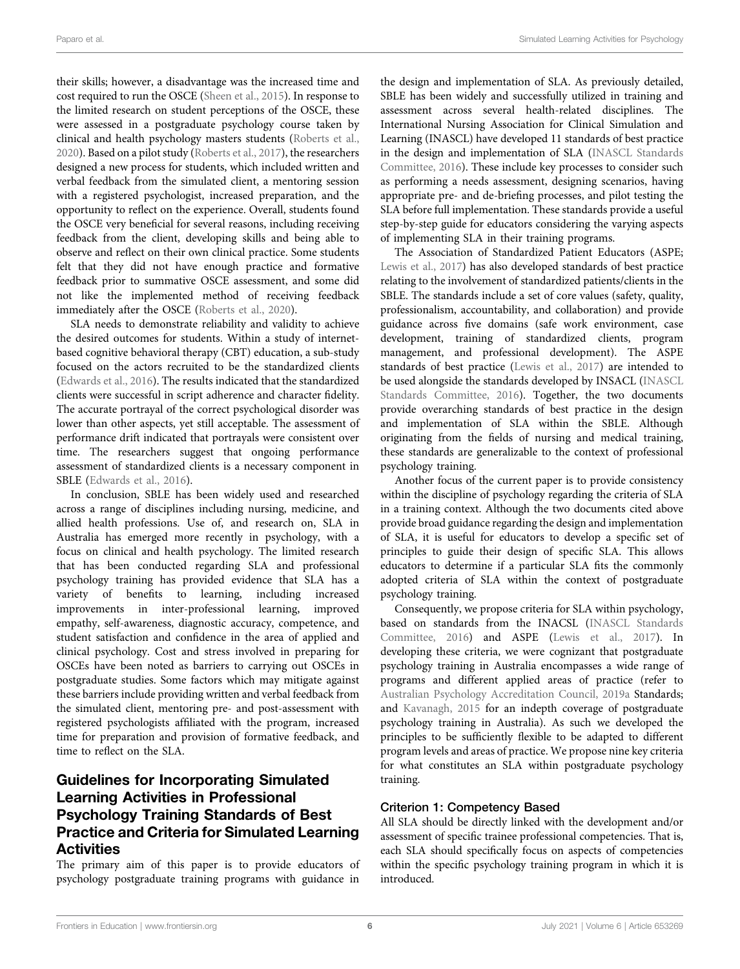their skills; however, a disadvantage was the increased time and cost required to run the OSCE [\(Sheen et al., 2015\)](#page-15-14). In response to the limited research on student perceptions of the OSCE, these were assessed in a postgraduate psychology course taken by clinical and health psychology masters students ([Roberts et al.,](#page-15-35) [2020](#page-15-35)). Based on a pilot study [\(Roberts et al., 2017](#page-15-36)), the researchers designed a new process for students, which included written and verbal feedback from the simulated client, a mentoring session with a registered psychologist, increased preparation, and the opportunity to reflect on the experience. Overall, students found the OSCE very beneficial for several reasons, including receiving feedback from the client, developing skills and being able to observe and reflect on their own clinical practice. Some students felt that they did not have enough practice and formative feedback prior to summative OSCE assessment, and some did not like the implemented method of receiving feedback immediately after the OSCE ([Roberts et al., 2020\)](#page-15-35).

SLA needs to demonstrate reliability and validity to achieve the desired outcomes for students. Within a study of internetbased cognitive behavioral therapy (CBT) education, a sub-study focused on the actors recruited to be the standardized clients ([Edwards et al., 2016\)](#page-15-25). The results indicated that the standardized clients were successful in script adherence and character fidelity. The accurate portrayal of the correct psychological disorder was lower than other aspects, yet still acceptable. The assessment of performance drift indicated that portrayals were consistent over time. The researchers suggest that ongoing performance assessment of standardized clients is a necessary component in SBLE [\(Edwards et al., 2016\)](#page-15-25).

In conclusion, SBLE has been widely used and researched across a range of disciplines including nursing, medicine, and allied health professions. Use of, and research on, SLA in Australia has emerged more recently in psychology, with a focus on clinical and health psychology. The limited research that has been conducted regarding SLA and professional psychology training has provided evidence that SLA has a variety of benefits to learning, including increased improvements in inter-professional learning, improved empathy, self-awareness, diagnostic accuracy, competence, and student satisfaction and confidence in the area of applied and clinical psychology. Cost and stress involved in preparing for OSCEs have been noted as barriers to carrying out OSCEs in postgraduate studies. Some factors which may mitigate against these barriers include providing written and verbal feedback from the simulated client, mentoring pre- and post-assessment with registered psychologists affiliated with the program, increased time for preparation and provision of formative feedback, and time to reflect on the SLA.

# Guidelines for Incorporating Simulated Learning Activities in Professional Psychology Training Standards of Best Practice and Criteria for Simulated Learning **Activities**

The primary aim of this paper is to provide educators of psychology postgraduate training programs with guidance in

the design and implementation of SLA. As previously detailed, SBLE has been widely and successfully utilized in training and assessment across several health-related disciplines. The International Nursing Association for Clinical Simulation and Learning (INASCL) have developed 11 standards of best practice in the design and implementation of SLA ([INASCL Standards](#page-15-37) [Committee, 2016](#page-15-37)). These include key processes to consider such as performing a needs assessment, designing scenarios, having appropriate pre- and de-briefing processes, and pilot testing the SLA before full implementation. These standards provide a useful step-by-step guide for educators considering the varying aspects of implementing SLA in their training programs.

The Association of Standardized Patient Educators (ASPE; [Lewis et al., 2017\)](#page-15-28) has also developed standards of best practice relating to the involvement of standardized patients/clients in the SBLE. The standards include a set of core values (safety, quality, professionalism, accountability, and collaboration) and provide guidance across five domains (safe work environment, case development, training of standardized clients, program management, and professional development). The ASPE standards of best practice ([Lewis et al., 2017](#page-15-28)) are intended to be used alongside the standards developed by INSACL ([INASCL](#page-15-37) [Standards Committee, 2016\)](#page-15-37). Together, the two documents provide overarching standards of best practice in the design and implementation of SLA within the SBLE. Although originating from the fields of nursing and medical training, these standards are generalizable to the context of professional psychology training.

Another focus of the current paper is to provide consistency within the discipline of psychology regarding the criteria of SLA in a training context. Although the two documents cited above provide broad guidance regarding the design and implementation of SLA, it is useful for educators to develop a specific set of principles to guide their design of specific SLA. This allows educators to determine if a particular SLA fits the commonly adopted criteria of SLA within the context of postgraduate psychology training.

Consequently, we propose criteria for SLA within psychology, based on standards from the INACSL [\(INASCL Standards](#page-15-37) [Committee, 2016](#page-15-37)) and ASPE [\(Lewis et al., 2017\)](#page-15-28). In developing these criteria, we were cognizant that postgraduate psychology training in Australia encompasses a wide range of programs and different applied areas of practice (refer to [Australian Psychology Accreditation Council, 2019a](#page-14-2) Standards; and [Kavanagh, 2015](#page-15-38) for an indepth coverage of postgraduate psychology training in Australia). As such we developed the principles to be sufficiently flexible to be adapted to different program levels and areas of practice. We propose nine key criteria for what constitutes an SLA within postgraduate psychology training.

#### Criterion 1: Competency Based

All SLA should be directly linked with the development and/or assessment of specific trainee professional competencies. That is, each SLA should specifically focus on aspects of competencies within the specific psychology training program in which it is introduced.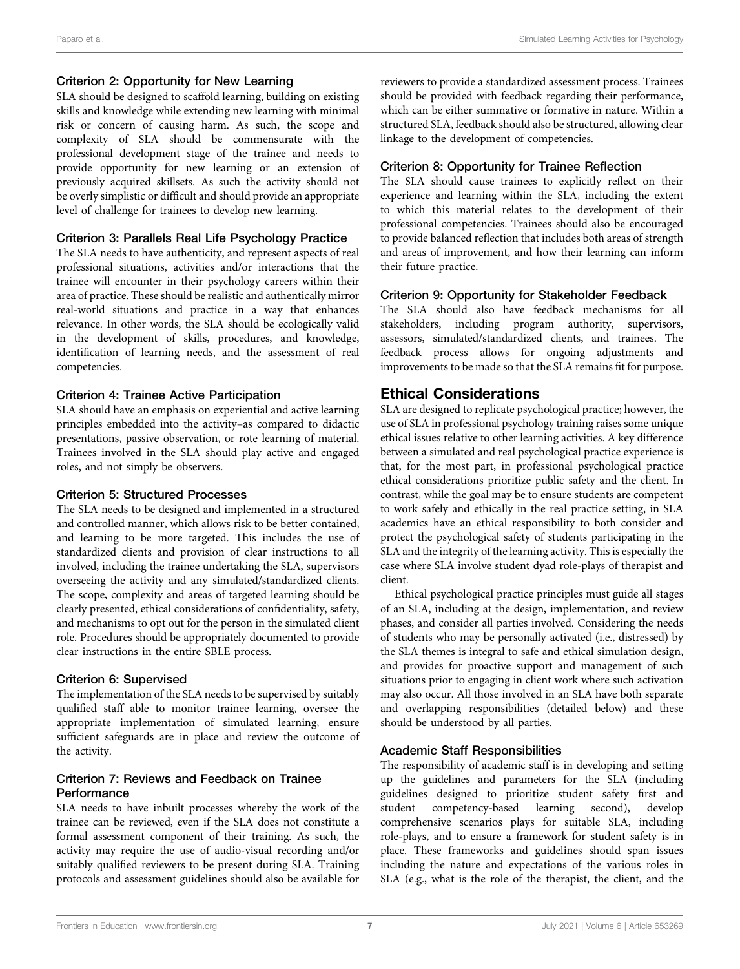#### Criterion 2: Opportunity for New Learning

SLA should be designed to scaffold learning, building on existing skills and knowledge while extending new learning with minimal risk or concern of causing harm. As such, the scope and complexity of SLA should be commensurate with the professional development stage of the trainee and needs to provide opportunity for new learning or an extension of previously acquired skillsets. As such the activity should not be overly simplistic or difficult and should provide an appropriate level of challenge for trainees to develop new learning.

#### Criterion 3: Parallels Real Life Psychology Practice

The SLA needs to have authenticity, and represent aspects of real professional situations, activities and/or interactions that the trainee will encounter in their psychology careers within their area of practice. These should be realistic and authentically mirror real-world situations and practice in a way that enhances relevance. In other words, the SLA should be ecologically valid in the development of skills, procedures, and knowledge, identification of learning needs, and the assessment of real competencies.

#### Criterion 4: Trainee Active Participation

SLA should have an emphasis on experiential and active learning principles embedded into the activity–as compared to didactic presentations, passive observation, or rote learning of material. Trainees involved in the SLA should play active and engaged roles, and not simply be observers.

#### Criterion 5: Structured Processes

The SLA needs to be designed and implemented in a structured and controlled manner, which allows risk to be better contained, and learning to be more targeted. This includes the use of standardized clients and provision of clear instructions to all involved, including the trainee undertaking the SLA, supervisors overseeing the activity and any simulated/standardized clients. The scope, complexity and areas of targeted learning should be clearly presented, ethical considerations of confidentiality, safety, and mechanisms to opt out for the person in the simulated client role. Procedures should be appropriately documented to provide clear instructions in the entire SBLE process.

### Criterion 6: Supervised

The implementation of the SLA needs to be supervised by suitably qualified staff able to monitor trainee learning, oversee the appropriate implementation of simulated learning, ensure sufficient safeguards are in place and review the outcome of the activity.

#### Criterion 7: Reviews and Feedback on Trainee **Performance**

SLA needs to have inbuilt processes whereby the work of the trainee can be reviewed, even if the SLA does not constitute a formal assessment component of their training. As such, the activity may require the use of audio-visual recording and/or suitably qualified reviewers to be present during SLA. Training protocols and assessment guidelines should also be available for

reviewers to provide a standardized assessment process. Trainees should be provided with feedback regarding their performance, which can be either summative or formative in nature. Within a structured SLA, feedback should also be structured, allowing clear linkage to the development of competencies.

### Criterion 8: Opportunity for Trainee Reflection

The SLA should cause trainees to explicitly reflect on their experience and learning within the SLA, including the extent to which this material relates to the development of their professional competencies. Trainees should also be encouraged to provide balanced reflection that includes both areas of strength and areas of improvement, and how their learning can inform their future practice.

#### Criterion 9: Opportunity for Stakeholder Feedback

The SLA should also have feedback mechanisms for all stakeholders, including program authority, supervisors, assessors, simulated/standardized clients, and trainees. The feedback process allows for ongoing adjustments and improvements to be made so that the SLA remains fit for purpose.

### Ethical Considerations

SLA are designed to replicate psychological practice; however, the use of SLA in professional psychology training raises some unique ethical issues relative to other learning activities. A key difference between a simulated and real psychological practice experience is that, for the most part, in professional psychological practice ethical considerations prioritize public safety and the client. In contrast, while the goal may be to ensure students are competent to work safely and ethically in the real practice setting, in SLA academics have an ethical responsibility to both consider and protect the psychological safety of students participating in the SLA and the integrity of the learning activity. This is especially the case where SLA involve student dyad role-plays of therapist and client.

Ethical psychological practice principles must guide all stages of an SLA, including at the design, implementation, and review phases, and consider all parties involved. Considering the needs of students who may be personally activated (i.e., distressed) by the SLA themes is integral to safe and ethical simulation design, and provides for proactive support and management of such situations prior to engaging in client work where such activation may also occur. All those involved in an SLA have both separate and overlapping responsibilities (detailed below) and these should be understood by all parties.

### Academic Staff Responsibilities

The responsibility of academic staff is in developing and setting up the guidelines and parameters for the SLA (including guidelines designed to prioritize student safety first and student competency-based learning second), develop comprehensive scenarios plays for suitable SLA, including role-plays, and to ensure a framework for student safety is in place. These frameworks and guidelines should span issues including the nature and expectations of the various roles in SLA (e.g., what is the role of the therapist, the client, and the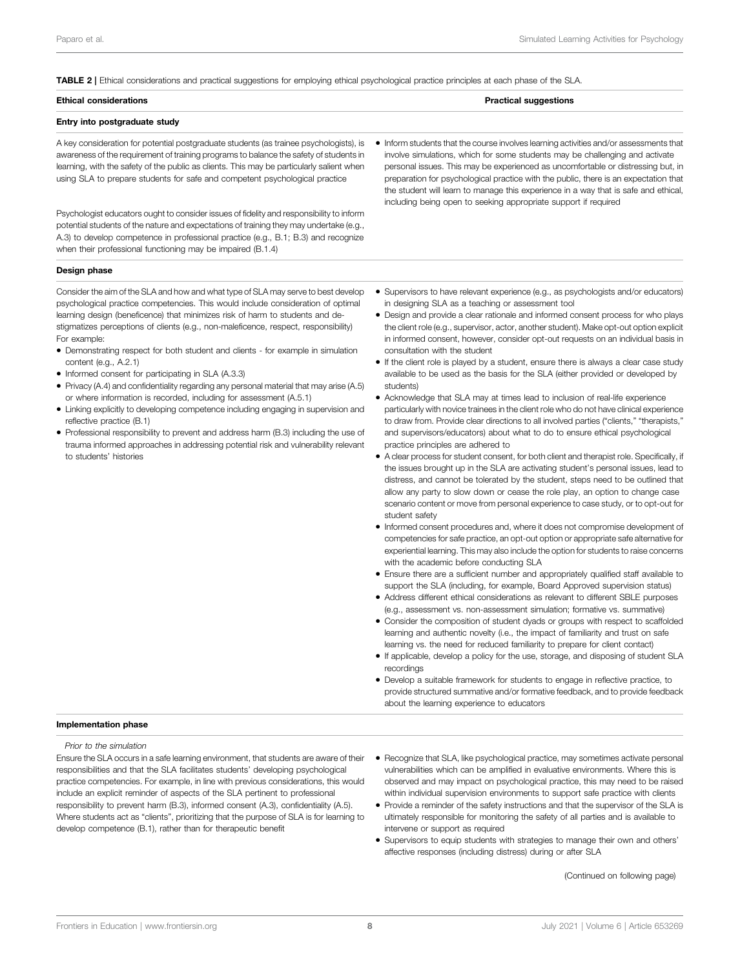<span id="page-7-0"></span>TABLE 2 | Ethical considerations and practical suggestions for employing ethical psychological practice principles at each phase of the SLA.

#### Ethical considerations Practical suggestions

#### Entry into postgraduate study

A key consideration for potential postgraduate students (as trainee psychologists), is awareness of the requirement of training programs to balance the safety of students in learning, with the safety of the public as clients. This may be particularly salient when using SLA to prepare students for safe and competent psychological practice

Psychologist educators ought to consider issues of fidelity and responsibility to inform potential students of the nature and expectations of training they may undertake (e.g., A.3) to develop competence in professional practice (e.g., B.1; B.3) and recognize when their professional functioning may be impaired (B.1.4)

#### Design phase

Consider the aim of the SLA and how and what type of SLA may serve to best develop psychological practice competencies. This would include consideration of optimal learning design (beneficence) that minimizes risk of harm to students and destigmatizes perceptions of clients (e.g., non-maleficence, respect, responsibility) For example:

- Demonstrating respect for both student and clients for example in simulation content (e.g., A.2.1)
- Informed consent for participating in SLA (A.3.3)
- Privacy (A.4) and confidentiality regarding any personal material that may arise (A.5) or where information is recorded, including for assessment (A.5.1)
- Linking explicitly to developing competence including engaging in supervision and reflective practice (B.1)
- Professional responsibility to prevent and address harm (B.3) including the use of trauma informed approaches in addressing potential risk and vulnerability relevant to students' histories

• Inform students that the course involves learning activities and/or assessments that involve simulations, which for some students may be challenging and activate personal issues. This may be experienced as uncomfortable or distressing but, in preparation for psychological practice with the public, there is an expectation that the student will learn to manage this experience in a way that is safe and ethical, including being open to seeking appropriate support if required

- Supervisors to have relevant experience (e.g., as psychologists and/or educators) in designing SLA as a teaching or assessment tool
- Design and provide a clear rationale and informed consent process for who plays the client role (e.g., supervisor, actor, another student). Make opt-out option explicit in informed consent, however, consider opt-out requests on an individual basis in consultation with the student
- If the client role is played by a student, ensure there is always a clear case study available to be used as the basis for the SLA (either provided or developed by students)
- Acknowledge that SLA may at times lead to inclusion of real-life experience particularly with novice trainees in the client role who do not have clinical experience to draw from. Provide clear directions to all involved parties ("clients," "therapists," and supervisors/educators) about what to do to ensure ethical psychological practice principles are adhered to
- A clear process for student consent, for both client and therapist role. Specifically, if the issues brought up in the SLA are activating student's personal issues, lead to distress, and cannot be tolerated by the student, steps need to be outlined that allow any party to slow down or cease the role play, an option to change case scenario content or move from personal experience to case study, or to opt-out for student safety
- Informed consent procedures and, where it does not compromise development of competencies for safe practice, an opt-out option or appropriate safe alternative for experiential learning. This may also include the option for students to raise concerns with the academic before conducting SLA
- Ensure there are a sufficient number and appropriately qualified staff available to support the SLA (including, for example, Board Approved supervision status)
- Address different ethical considerations as relevant to different SBLE purposes (e.g., assessment vs. non-assessment simulation; formative vs. summative)
- Consider the composition of student dyads or groups with respect to scaffolded learning and authentic novelty (i.e., the impact of familiarity and trust on safe learning vs. the need for reduced familiarity to prepare for client contact)
- If applicable, develop a policy for the use, storage, and disposing of student SLA recordings
- Develop a suitable framework for students to engage in reflective practice, to provide structured summative and/or formative feedback, and to provide feedback about the learning experience to educators

#### Implementation phase

Prior to the simulation

Ensure the SLA occurs in a safe learning environment, that students are aware of their responsibilities and that the SLA facilitates students' developing psychological practice competencies. For example, in line with previous considerations, this would include an explicit reminder of aspects of the SLA pertinent to professional responsibility to prevent harm (B.3), informed consent (A.3), confidentiality (A.5). Where students act as "clients", prioritizing that the purpose of SLA is for learning to develop competence (B.1), rather than for therapeutic benefit

- Recognize that SLA, like psychological practice, may sometimes activate personal vulnerabilities which can be amplified in evaluative environments. Where this is observed and may impact on psychological practice, this may need to be raised within individual supervision environments to support safe practice with clients
- Provide a reminder of the safety instructions and that the supervisor of the SLA is ultimately responsible for monitoring the safety of all parties and is available to intervene or support as required
- Supervisors to equip students with strategies to manage their own and others' affective responses (including distress) during or after SLA

(Continued on following page)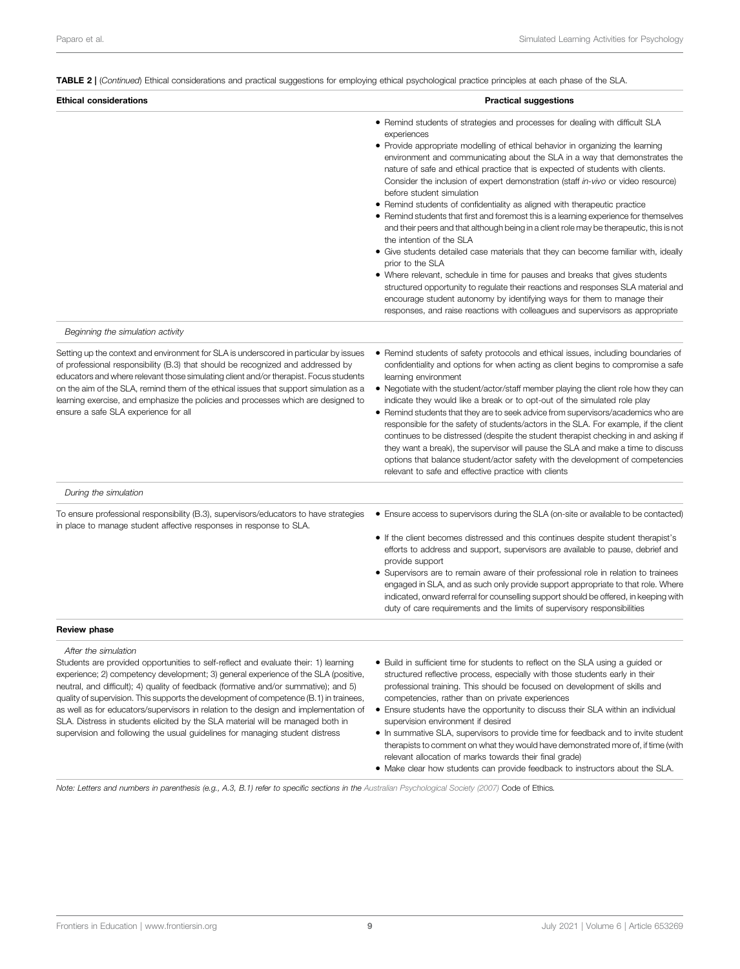#### TABLE 2 | (Continued) Ethical considerations and practical suggestions for employing ethical psychological practice principles at each phase of the SLA.

| <b>Ethical considerations</b>                                                                                                                                                                                                                                                                                                                                                                                                                                                                                                                                                                                                                 | <b>Practical suggestions</b>                                                                                                                                                                                                                                                                                                                                                                                                                                                                                                                                                                                                                                                                                                                                                                                                                                                                                                                                                                                                                                                                                                                                                                              |  |  |
|-----------------------------------------------------------------------------------------------------------------------------------------------------------------------------------------------------------------------------------------------------------------------------------------------------------------------------------------------------------------------------------------------------------------------------------------------------------------------------------------------------------------------------------------------------------------------------------------------------------------------------------------------|-----------------------------------------------------------------------------------------------------------------------------------------------------------------------------------------------------------------------------------------------------------------------------------------------------------------------------------------------------------------------------------------------------------------------------------------------------------------------------------------------------------------------------------------------------------------------------------------------------------------------------------------------------------------------------------------------------------------------------------------------------------------------------------------------------------------------------------------------------------------------------------------------------------------------------------------------------------------------------------------------------------------------------------------------------------------------------------------------------------------------------------------------------------------------------------------------------------|--|--|
|                                                                                                                                                                                                                                                                                                                                                                                                                                                                                                                                                                                                                                               | • Remind students of strategies and processes for dealing with difficult SLA<br>experiences<br>• Provide appropriate modelling of ethical behavior in organizing the learning<br>environment and communicating about the SLA in a way that demonstrates the<br>nature of safe and ethical practice that is expected of students with clients.<br>Consider the inclusion of expert demonstration (staff in-vivo or video resource)<br>before student simulation<br>• Remind students of confidentiality as aligned with therapeutic practice<br>• Remind students that first and foremost this is a learning experience for themselves<br>and their peers and that although being in a client role may be therapeutic, this is not<br>the intention of the SLA<br>• Give students detailed case materials that they can become familiar with, ideally<br>prior to the SLA<br>• Where relevant, schedule in time for pauses and breaks that gives students<br>structured opportunity to regulate their reactions and responses SLA material and<br>encourage student autonomy by identifying ways for them to manage their<br>responses, and raise reactions with colleagues and supervisors as appropriate |  |  |
| Beginning the simulation activity                                                                                                                                                                                                                                                                                                                                                                                                                                                                                                                                                                                                             |                                                                                                                                                                                                                                                                                                                                                                                                                                                                                                                                                                                                                                                                                                                                                                                                                                                                                                                                                                                                                                                                                                                                                                                                           |  |  |
| Setting up the context and environment for SLA is underscored in particular by issues<br>of professional responsibility (B.3) that should be recognized and addressed by<br>educators and where relevant those simulating client and/or therapist. Focus students<br>on the aim of the SLA, remind them of the ethical issues that support simulation as a<br>learning exercise, and emphasize the policies and processes which are designed to<br>ensure a safe SLA experience for all                                                                                                                                                       | • Remind students of safety protocols and ethical issues, including boundaries of<br>confidentiality and options for when acting as client begins to compromise a safe<br>learning environment<br>• Negotiate with the student/actor/staff member playing the client role how they can<br>indicate they would like a break or to opt-out of the simulated role play<br>• Remind students that they are to seek advice from supervisors/academics who are<br>responsible for the safety of students/actors in the SLA. For example, if the client<br>continues to be distressed (despite the student therapist checking in and asking if<br>they want a break), the supervisor will pause the SLA and make a time to discuss<br>options that balance student/actor safety with the development of competencies<br>relevant to safe and effective practice with clients                                                                                                                                                                                                                                                                                                                                     |  |  |
| During the simulation                                                                                                                                                                                                                                                                                                                                                                                                                                                                                                                                                                                                                         |                                                                                                                                                                                                                                                                                                                                                                                                                                                                                                                                                                                                                                                                                                                                                                                                                                                                                                                                                                                                                                                                                                                                                                                                           |  |  |
| To ensure professional responsibility (B.3), supervisors/educators to have strategies<br>in place to manage student affective responses in response to SLA.                                                                                                                                                                                                                                                                                                                                                                                                                                                                                   | • Ensure access to supervisors during the SLA (on-site or available to be contacted)<br>. If the client becomes distressed and this continues despite student therapist's<br>efforts to address and support, supervisors are available to pause, debrief and<br>provide support<br>• Supervisors are to remain aware of their professional role in relation to trainees<br>engaged in SLA, and as such only provide support appropriate to that role. Where<br>indicated, onward referral for counselling support should be offered, in keeping with<br>duty of care requirements and the limits of supervisory responsibilities                                                                                                                                                                                                                                                                                                                                                                                                                                                                                                                                                                          |  |  |
| Review phase                                                                                                                                                                                                                                                                                                                                                                                                                                                                                                                                                                                                                                  |                                                                                                                                                                                                                                                                                                                                                                                                                                                                                                                                                                                                                                                                                                                                                                                                                                                                                                                                                                                                                                                                                                                                                                                                           |  |  |
| After the simulation<br>Students are provided opportunities to self-reflect and evaluate their: 1) learning<br>experience; 2) competency development; 3) general experience of the SLA (positive,<br>neutral, and difficult); 4) quality of feedback (formative and/or summative); and 5)<br>quality of supervision. This supports the development of competence (B.1) in trainees,<br>as well as for educators/supervisors in relation to the design and implementation of<br>SLA. Distress in students elicited by the SLA material will be managed both in<br>supervision and following the usual guidelines for managing student distress | • Build in sufficient time for students to reflect on the SLA using a quided or<br>structured reflective process, especially with those students early in their<br>professional training. This should be focused on development of skills and<br>competencies, rather than on private experiences<br>• Ensure students have the opportunity to discuss their SLA within an individual<br>supervision environment if desired<br>• In summative SLA, supervisors to provide time for feedback and to invite student<br>therapists to comment on what they would have demonstrated more of, if time (with<br>relevant allocation of marks towards their final grade)<br>• Make clear how students can provide feedback to instructors about the SLA.                                                                                                                                                                                                                                                                                                                                                                                                                                                         |  |  |

Note: Letters and numbers in parenthesis (e.g., A.3, B.1) refer to specific sections in the [Australian Psychological Society \(2007\)](#page-14-18) Code of Ethics.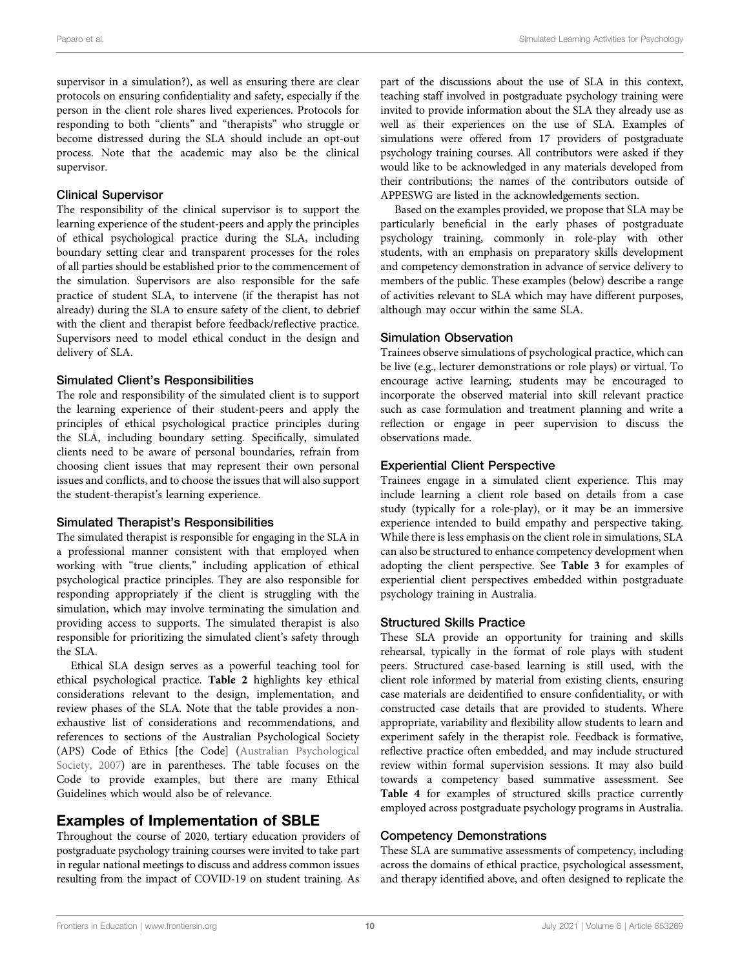supervisor in a simulation?), as well as ensuring there are clear protocols on ensuring confidentiality and safety, especially if the person in the client role shares lived experiences. Protocols for responding to both "clients" and "therapists" who struggle or become distressed during the SLA should include an opt-out process. Note that the academic may also be the clinical supervisor.

#### Clinical Supervisor

The responsibility of the clinical supervisor is to support the learning experience of the student-peers and apply the principles of ethical psychological practice during the SLA, including boundary setting clear and transparent processes for the roles of all parties should be established prior to the commencement of the simulation. Supervisors are also responsible for the safe practice of student SLA, to intervene (if the therapist has not already) during the SLA to ensure safety of the client, to debrief with the client and therapist before feedback/reflective practice. Supervisors need to model ethical conduct in the design and delivery of SLA.

#### Simulated Client's Responsibilities

The role and responsibility of the simulated client is to support the learning experience of their student-peers and apply the principles of ethical psychological practice principles during the SLA, including boundary setting. Specifically, simulated clients need to be aware of personal boundaries, refrain from choosing client issues that may represent their own personal issues and conflicts, and to choose the issues that will also support the student-therapist's learning experience.

#### Simulated Therapist's Responsibilities

The simulated therapist is responsible for engaging in the SLA in a professional manner consistent with that employed when working with "true clients," including application of ethical psychological practice principles. They are also responsible for responding appropriately if the client is struggling with the simulation, which may involve terminating the simulation and providing access to supports. The simulated therapist is also responsible for prioritizing the simulated client's safety through the SLA.

Ethical SLA design serves as a powerful teaching tool for ethical psychological practice. [Table 2](#page-7-0) highlights key ethical considerations relevant to the design, implementation, and review phases of the SLA. Note that the table provides a nonexhaustive list of considerations and recommendations, and references to sections of the Australian Psychological Society (APS) Code of Ethics [the Code] [\(Australian Psychological](#page-14-18) [Society, 2007](#page-14-18)) are in parentheses. The table focuses on the Code to provide examples, but there are many Ethical Guidelines which would also be of relevance.

### Examples of Implementation of SBLE

Throughout the course of 2020, tertiary education providers of postgraduate psychology training courses were invited to take part in regular national meetings to discuss and address common issues resulting from the impact of COVID-19 on student training. As

part of the discussions about the use of SLA in this context, teaching staff involved in postgraduate psychology training were invited to provide information about the SLA they already use as well as their experiences on the use of SLA. Examples of simulations were offered from 17 providers of postgraduate psychology training courses. All contributors were asked if they would like to be acknowledged in any materials developed from their contributions; the names of the contributors outside of APPESWG are listed in the acknowledgements section.

Based on the examples provided, we propose that SLA may be particularly beneficial in the early phases of postgraduate psychology training, commonly in role-play with other students, with an emphasis on preparatory skills development and competency demonstration in advance of service delivery to members of the public. These examples (below) describe a range of activities relevant to SLA which may have different purposes, although may occur within the same SLA.

#### Simulation Observation

Trainees observe simulations of psychological practice, which can be live (e.g., lecturer demonstrations or role plays) or virtual. To encourage active learning, students may be encouraged to incorporate the observed material into skill relevant practice such as case formulation and treatment planning and write a reflection or engage in peer supervision to discuss the observations made.

#### Experiential Client Perspective

Trainees engage in a simulated client experience. This may include learning a client role based on details from a case study (typically for a role-play), or it may be an immersive experience intended to build empathy and perspective taking. While there is less emphasis on the client role in simulations, SLA can also be structured to enhance competency development when adopting the client perspective. See [Table 3](#page-10-0) for examples of experiential client perspectives embedded within postgraduate psychology training in Australia.

#### Structured Skills Practice

These SLA provide an opportunity for training and skills rehearsal, typically in the format of role plays with student peers. Structured case-based learning is still used, with the client role informed by material from existing clients, ensuring case materials are deidentified to ensure confidentiality, or with constructed case details that are provided to students. Where appropriate, variability and flexibility allow students to learn and experiment safely in the therapist role. Feedback is formative, reflective practice often embedded, and may include structured review within formal supervision sessions. It may also build towards a competency based summative assessment. See [Table 4](#page-10-1) for examples of structured skills practice currently employed across postgraduate psychology programs in Australia.

#### Competency Demonstrations

These SLA are summative assessments of competency, including across the domains of ethical practice, psychological assessment, and therapy identified above, and often designed to replicate the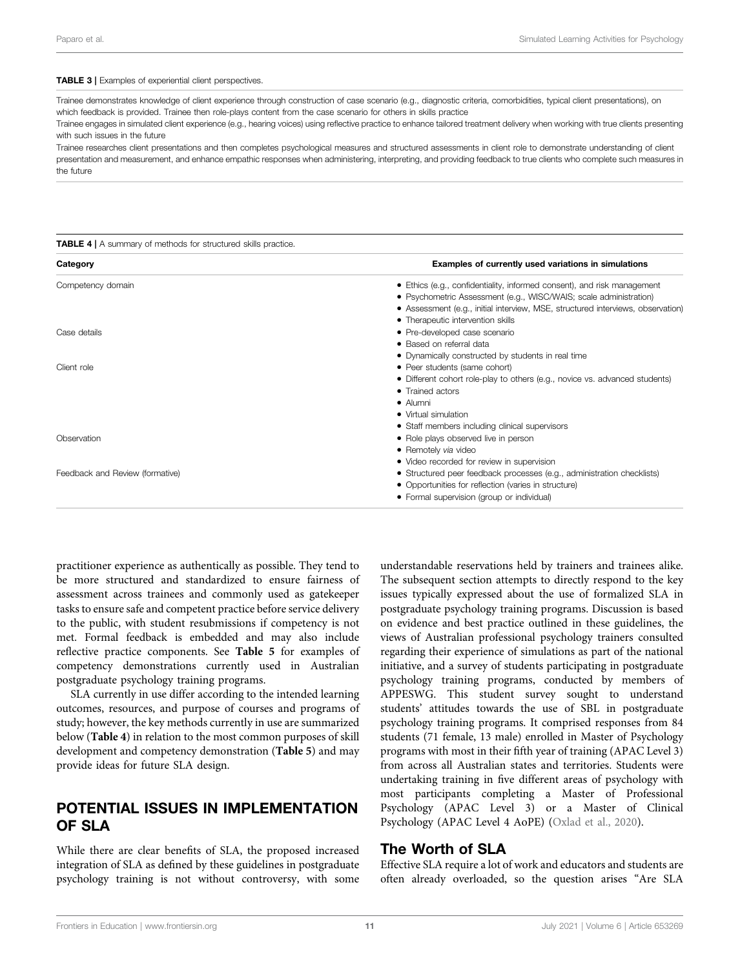#### <span id="page-10-0"></span>TABLE 3 | Examples of experiential client perspectives.

Trainee demonstrates knowledge of client experience through construction of case scenario (e.g., diagnostic criteria, comorbidities, typical client presentations), on which feedback is provided. Trainee then role-plays content from the case scenario for others in skills practice

Trainee engages in simulated client experience (e.g., hearing voices) using reflective practice to enhance tailored treatment delivery when working with true clients presenting with such issues in the future

Trainee researches client presentations and then completes psychological measures and structured assessments in client role to demonstrate understanding of client presentation and measurement, and enhance empathic responses when administering, interpreting, and providing feedback to true clients who complete such measures in the future

<span id="page-10-1"></span>

|  | TABLE 4   A summary of methods for structured skills practice. |  |  |  |
|--|----------------------------------------------------------------|--|--|--|
|--|----------------------------------------------------------------|--|--|--|

| Category                        | Examples of currently used variations in simulations                            |
|---------------------------------|---------------------------------------------------------------------------------|
| Competency domain               | • Ethics (e.g., confidentiality, informed consent), and risk management         |
|                                 | • Psychometric Assessment (e.g., WISC/WAIS; scale administration)               |
|                                 | • Assessment (e.g., initial interview, MSE, structured interviews, observation) |
|                                 | • Therapeutic intervention skills                                               |
| Case details                    | • Pre-developed case scenario                                                   |
|                                 | • Based on referral data                                                        |
|                                 | • Dynamically constructed by students in real time                              |
| Client role                     | • Peer students (same cohort)                                                   |
|                                 | • Different cohort role-play to others (e.g., novice vs. advanced students)     |
|                                 | • Trained actors                                                                |
|                                 | • Alumni                                                                        |
|                                 | • Virtual simulation                                                            |
|                                 | • Staff members including clinical supervisors                                  |
| Observation                     | • Role plays observed live in person                                            |
|                                 | • Remotely via video                                                            |
|                                 | • Video recorded for review in supervision                                      |
| Feedback and Review (formative) | • Structured peer feedback processes (e.g., administration checklists)          |
|                                 | • Opportunities for reflection (varies in structure)                            |
|                                 | • Formal supervision (group or individual)                                      |

practitioner experience as authentically as possible. They tend to be more structured and standardized to ensure fairness of assessment across trainees and commonly used as gatekeeper tasks to ensure safe and competent practice before service delivery to the public, with student resubmissions if competency is not met. Formal feedback is embedded and may also include reflective practice components. See [Table 5](#page-11-0) for examples of competency demonstrations currently used in Australian postgraduate psychology training programs.

SLA currently in use differ according to the intended learning outcomes, resources, and purpose of courses and programs of study; however, the key methods currently in use are summarized below ([Table 4](#page-10-1)) in relation to the most common purposes of skill development and competency demonstration ([Table 5](#page-11-0)) and may provide ideas for future SLA design.

### POTENTIAL ISSUES IN IMPLEMENTATION OF SLA

While there are clear benefits of SLA, the proposed increased integration of SLA as defined by these guidelines in postgraduate psychology training is not without controversy, with some

understandable reservations held by trainers and trainees alike. The subsequent section attempts to directly respond to the key issues typically expressed about the use of formalized SLA in postgraduate psychology training programs. Discussion is based on evidence and best practice outlined in these guidelines, the views of Australian professional psychology trainers consulted regarding their experience of simulations as part of the national initiative, and a survey of students participating in postgraduate psychology training programs, conducted by members of APPESWG. This student survey sought to understand students' attitudes towards the use of SBL in postgraduate psychology training programs. It comprised responses from 84 students (71 female, 13 male) enrolled in Master of Psychology programs with most in their fifth year of training (APAC Level 3) from across all Australian states and territories. Students were undertaking training in five different areas of psychology with most participants completing a Master of Professional Psychology (APAC Level 3) or a Master of Clinical Psychology (APAC Level 4 AoPE) ([Oxlad et al., 2020\)](#page-15-39).

#### The Worth of SLA

Effective SLA require a lot of work and educators and students are often already overloaded, so the question arises "Are SLA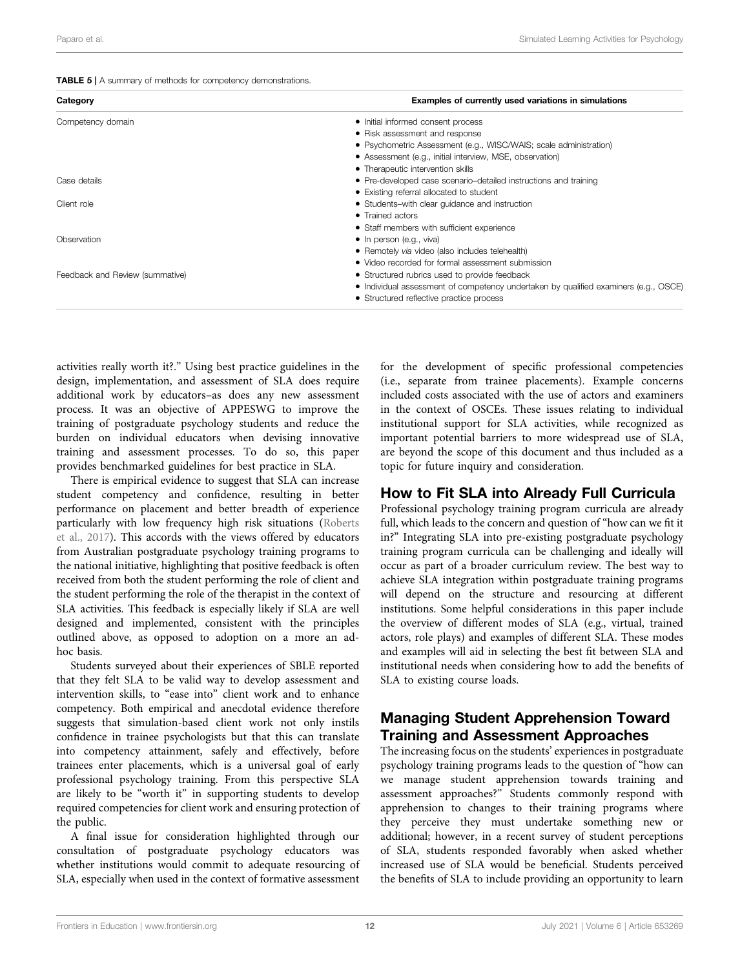<span id="page-11-0"></span>

| Category                        | Examples of currently used variations in simulations                                 |
|---------------------------------|--------------------------------------------------------------------------------------|
| Competency domain               | • Initial informed consent process                                                   |
|                                 | • Risk assessment and response                                                       |
|                                 | • Psychometric Assessment (e.g., WISC/WAIS; scale administration)                    |
|                                 | • Assessment (e.g., initial interview, MSE, observation)                             |
|                                 | • Therapeutic intervention skills                                                    |
| Case details                    | • Pre-developed case scenario-detailed instructions and training                     |
|                                 | • Existing referral allocated to student                                             |
| Client role                     | • Students-with clear quidance and instruction                                       |
|                                 | • Trained actors                                                                     |
|                                 | • Staff members with sufficient experience                                           |
| Observation                     | $\bullet$ In person (e.g., viva)                                                     |
|                                 | • Remotely via video (also includes telehealth)                                      |
|                                 | • Video recorded for formal assessment submission                                    |
| Feedback and Review (summative) | • Structured rubrics used to provide feedback                                        |
|                                 | • Individual assessment of competency undertaken by qualified examiners (e.g., OSCE) |
|                                 | • Structured reflective practice process                                             |

activities really worth it?." Using best practice guidelines in the design, implementation, and assessment of SLA does require additional work by educators–as does any new assessment process. It was an objective of APPESWG to improve the training of postgraduate psychology students and reduce the burden on individual educators when devising innovative training and assessment processes. To do so, this paper provides benchmarked guidelines for best practice in SLA.

There is empirical evidence to suggest that SLA can increase student competency and confidence, resulting in better performance on placement and better breadth of experience particularly with low frequency high risk situations [\(Roberts](#page-15-36) [et al., 2017](#page-15-36)). This accords with the views offered by educators from Australian postgraduate psychology training programs to the national initiative, highlighting that positive feedback is often received from both the student performing the role of client and the student performing the role of the therapist in the context of SLA activities. This feedback is especially likely if SLA are well designed and implemented, consistent with the principles outlined above, as opposed to adoption on a more an adhoc basis.

Students surveyed about their experiences of SBLE reported that they felt SLA to be valid way to develop assessment and intervention skills, to "ease into" client work and to enhance competency. Both empirical and anecdotal evidence therefore suggests that simulation-based client work not only instils confidence in trainee psychologists but that this can translate into competency attainment, safely and effectively, before trainees enter placements, which is a universal goal of early professional psychology training. From this perspective SLA are likely to be "worth it" in supporting students to develop required competencies for client work and ensuring protection of the public.

A final issue for consideration highlighted through our consultation of postgraduate psychology educators was whether institutions would commit to adequate resourcing of SLA, especially when used in the context of formative assessment

for the development of specific professional competencies (i.e., separate from trainee placements). Example concerns included costs associated with the use of actors and examiners in the context of OSCEs. These issues relating to individual institutional support for SLA activities, while recognized as important potential barriers to more widespread use of SLA, are beyond the scope of this document and thus included as a topic for future inquiry and consideration.

### How to Fit SLA into Already Full Curricula

Professional psychology training program curricula are already full, which leads to the concern and question of "how can we fit it in?" Integrating SLA into pre-existing postgraduate psychology training program curricula can be challenging and ideally will occur as part of a broader curriculum review. The best way to achieve SLA integration within postgraduate training programs will depend on the structure and resourcing at different institutions. Some helpful considerations in this paper include the overview of different modes of SLA (e.g., virtual, trained actors, role plays) and examples of different SLA. These modes and examples will aid in selecting the best fit between SLA and institutional needs when considering how to add the benefits of SLA to existing course loads.

### Managing Student Apprehension Toward Training and Assessment Approaches

The increasing focus on the students' experiences in postgraduate psychology training programs leads to the question of "how can we manage student apprehension towards training and assessment approaches?" Students commonly respond with apprehension to changes to their training programs where they perceive they must undertake something new or additional; however, in a recent survey of student perceptions of SLA, students responded favorably when asked whether increased use of SLA would be beneficial. Students perceived the benefits of SLA to include providing an opportunity to learn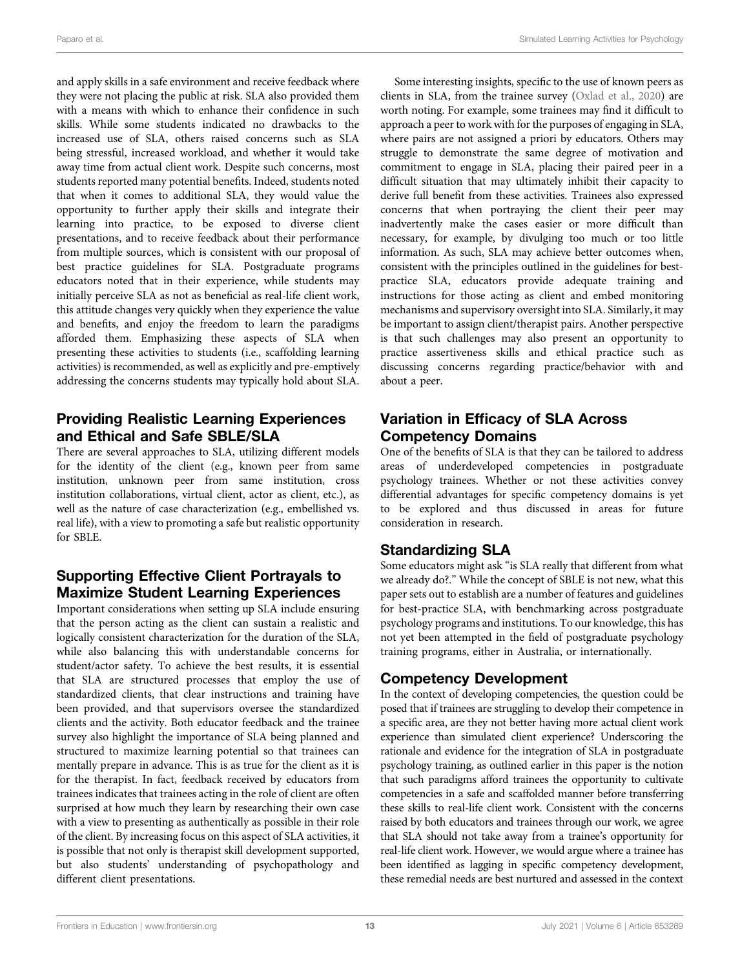and apply skills in a safe environment and receive feedback where they were not placing the public at risk. SLA also provided them with a means with which to enhance their confidence in such skills. While some students indicated no drawbacks to the increased use of SLA, others raised concerns such as SLA being stressful, increased workload, and whether it would take away time from actual client work. Despite such concerns, most students reported many potential benefits. Indeed, students noted that when it comes to additional SLA, they would value the opportunity to further apply their skills and integrate their learning into practice, to be exposed to diverse client presentations, and to receive feedback about their performance from multiple sources, which is consistent with our proposal of best practice guidelines for SLA. Postgraduate programs educators noted that in their experience, while students may initially perceive SLA as not as beneficial as real-life client work, this attitude changes very quickly when they experience the value and benefits, and enjoy the freedom to learn the paradigms afforded them. Emphasizing these aspects of SLA when presenting these activities to students (i.e., scaffolding learning activities) is recommended, as well as explicitly and pre-emptively addressing the concerns students may typically hold about SLA.

# Providing Realistic Learning Experiences and Ethical and Safe SBLE/SLA

There are several approaches to SLA, utilizing different models for the identity of the client (e.g., known peer from same institution, unknown peer from same institution, cross institution collaborations, virtual client, actor as client, etc.), as well as the nature of case characterization (e.g., embellished vs. real life), with a view to promoting a safe but realistic opportunity for SBLE.

# Supporting Effective Client Portrayals to Maximize Student Learning Experiences

Important considerations when setting up SLA include ensuring that the person acting as the client can sustain a realistic and logically consistent characterization for the duration of the SLA, while also balancing this with understandable concerns for student/actor safety. To achieve the best results, it is essential that SLA are structured processes that employ the use of standardized clients, that clear instructions and training have been provided, and that supervisors oversee the standardized clients and the activity. Both educator feedback and the trainee survey also highlight the importance of SLA being planned and structured to maximize learning potential so that trainees can mentally prepare in advance. This is as true for the client as it is for the therapist. In fact, feedback received by educators from trainees indicates that trainees acting in the role of client are often surprised at how much they learn by researching their own case with a view to presenting as authentically as possible in their role of the client. By increasing focus on this aspect of SLA activities, it is possible that not only is therapist skill development supported, but also students' understanding of psychopathology and different client presentations.

Some interesting insights, specific to the use of known peers as clients in SLA, from the trainee survey [\(Oxlad et al., 2020\)](#page-15-39) are worth noting. For example, some trainees may find it difficult to approach a peer to work with for the purposes of engaging in SLA, where pairs are not assigned a priori by educators. Others may struggle to demonstrate the same degree of motivation and commitment to engage in SLA, placing their paired peer in a difficult situation that may ultimately inhibit their capacity to derive full benefit from these activities. Trainees also expressed concerns that when portraying the client their peer may inadvertently make the cases easier or more difficult than necessary, for example, by divulging too much or too little information. As such, SLA may achieve better outcomes when, consistent with the principles outlined in the guidelines for bestpractice SLA, educators provide adequate training and instructions for those acting as client and embed monitoring mechanisms and supervisory oversight into SLA. Similarly, it may be important to assign client/therapist pairs. Another perspective is that such challenges may also present an opportunity to practice assertiveness skills and ethical practice such as discussing concerns regarding practice/behavior with and about a peer.

### Variation in Efficacy of SLA Across Competency Domains

One of the benefits of SLA is that they can be tailored to address areas of underdeveloped competencies in postgraduate psychology trainees. Whether or not these activities convey differential advantages for specific competency domains is yet to be explored and thus discussed in areas for future consideration in research.

### Standardizing SLA

Some educators might ask "is SLA really that different from what we already do?." While the concept of SBLE is not new, what this paper sets out to establish are a number of features and guidelines for best-practice SLA, with benchmarking across postgraduate psychology programs and institutions. To our knowledge, this has not yet been attempted in the field of postgraduate psychology training programs, either in Australia, or internationally.

### Competency Development

In the context of developing competencies, the question could be posed that if trainees are struggling to develop their competence in a specific area, are they not better having more actual client work experience than simulated client experience? Underscoring the rationale and evidence for the integration of SLA in postgraduate psychology training, as outlined earlier in this paper is the notion that such paradigms afford trainees the opportunity to cultivate competencies in a safe and scaffolded manner before transferring these skills to real-life client work. Consistent with the concerns raised by both educators and trainees through our work, we agree that SLA should not take away from a trainee's opportunity for real-life client work. However, we would argue where a trainee has been identified as lagging in specific competency development, these remedial needs are best nurtured and assessed in the context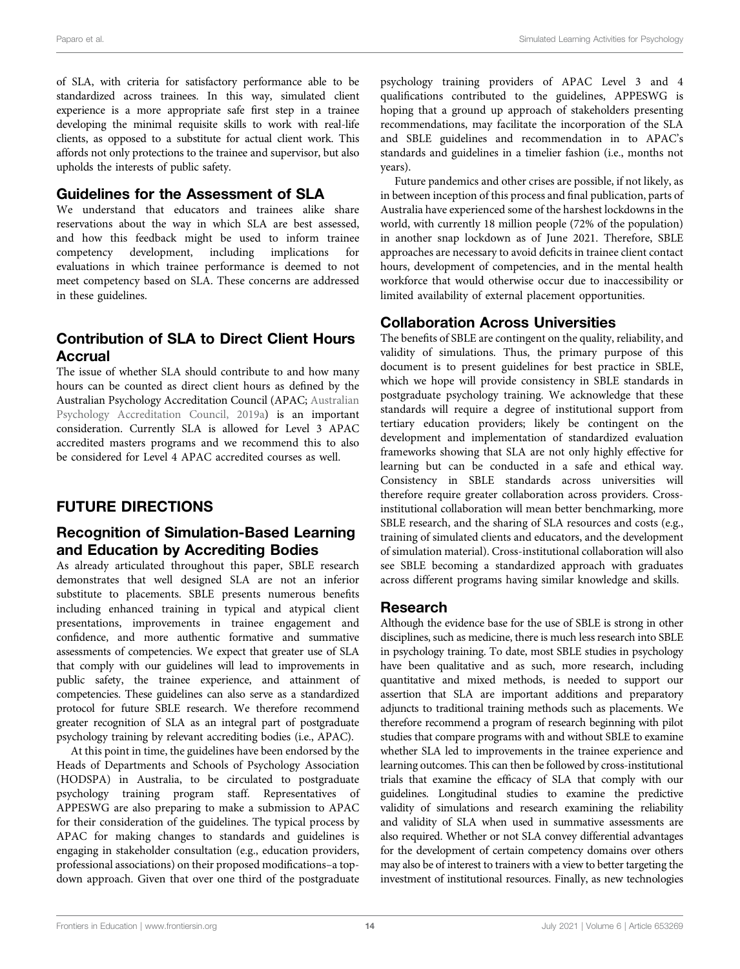of SLA, with criteria for satisfactory performance able to be standardized across trainees. In this way, simulated client experience is a more appropriate safe first step in a trainee developing the minimal requisite skills to work with real-life clients, as opposed to a substitute for actual client work. This affords not only protections to the trainee and supervisor, but also upholds the interests of public safety.

### Guidelines for the Assessment of SLA

We understand that educators and trainees alike share reservations about the way in which SLA are best assessed, and how this feedback might be used to inform trainee competency development, including implications for evaluations in which trainee performance is deemed to not meet competency based on SLA. These concerns are addressed in these guidelines.

# Contribution of SLA to Direct Client Hours Accrual

The issue of whether SLA should contribute to and how many hours can be counted as direct client hours as defined by the Australian Psychology Accreditation Council (APAC; [Australian](#page-14-2) [Psychology Accreditation Council, 2019a\)](#page-14-2) is an important consideration. Currently SLA is allowed for Level 3 APAC accredited masters programs and we recommend this to also be considered for Level 4 APAC accredited courses as well.

# FUTURE DIRECTIONS

### Recognition of Simulation-Based Learning and Education by Accrediting Bodies

As already articulated throughout this paper, SBLE research demonstrates that well designed SLA are not an inferior substitute to placements. SBLE presents numerous benefits including enhanced training in typical and atypical client presentations, improvements in trainee engagement and confidence, and more authentic formative and summative assessments of competencies. We expect that greater use of SLA that comply with our guidelines will lead to improvements in public safety, the trainee experience, and attainment of competencies. These guidelines can also serve as a standardized protocol for future SBLE research. We therefore recommend greater recognition of SLA as an integral part of postgraduate psychology training by relevant accrediting bodies (i.e., APAC).

At this point in time, the guidelines have been endorsed by the Heads of Departments and Schools of Psychology Association (HODSPA) in Australia, to be circulated to postgraduate psychology training program staff. Representatives of APPESWG are also preparing to make a submission to APAC for their consideration of the guidelines. The typical process by APAC for making changes to standards and guidelines is engaging in stakeholder consultation (e.g., education providers, professional associations) on their proposed modifications–a topdown approach. Given that over one third of the postgraduate

psychology training providers of APAC Level 3 and 4 qualifications contributed to the guidelines, APPESWG is hoping that a ground up approach of stakeholders presenting recommendations, may facilitate the incorporation of the SLA and SBLE guidelines and recommendation in to APAC's standards and guidelines in a timelier fashion (i.e., months not years).

Future pandemics and other crises are possible, if not likely, as in between inception of this process and final publication, parts of Australia have experienced some of the harshest lockdowns in the world, with currently 18 million people (72% of the population) in another snap lockdown as of June 2021. Therefore, SBLE approaches are necessary to avoid deficits in trainee client contact hours, development of competencies, and in the mental health workforce that would otherwise occur due to inaccessibility or limited availability of external placement opportunities.

### Collaboration Across Universities

The benefits of SBLE are contingent on the quality, reliability, and validity of simulations. Thus, the primary purpose of this document is to present guidelines for best practice in SBLE, which we hope will provide consistency in SBLE standards in postgraduate psychology training. We acknowledge that these standards will require a degree of institutional support from tertiary education providers; likely be contingent on the development and implementation of standardized evaluation frameworks showing that SLA are not only highly effective for learning but can be conducted in a safe and ethical way. Consistency in SBLE standards across universities will therefore require greater collaboration across providers. Crossinstitutional collaboration will mean better benchmarking, more SBLE research, and the sharing of SLA resources and costs (e.g., training of simulated clients and educators, and the development of simulation material). Cross-institutional collaboration will also see SBLE becoming a standardized approach with graduates across different programs having similar knowledge and skills.

### Research

Although the evidence base for the use of SBLE is strong in other disciplines, such as medicine, there is much less research into SBLE in psychology training. To date, most SBLE studies in psychology have been qualitative and as such, more research, including quantitative and mixed methods, is needed to support our assertion that SLA are important additions and preparatory adjuncts to traditional training methods such as placements. We therefore recommend a program of research beginning with pilot studies that compare programs with and without SBLE to examine whether SLA led to improvements in the trainee experience and learning outcomes. This can then be followed by cross-institutional trials that examine the efficacy of SLA that comply with our guidelines. Longitudinal studies to examine the predictive validity of simulations and research examining the reliability and validity of SLA when used in summative assessments are also required. Whether or not SLA convey differential advantages for the development of certain competency domains over others may also be of interest to trainers with a view to better targeting the investment of institutional resources. Finally, as new technologies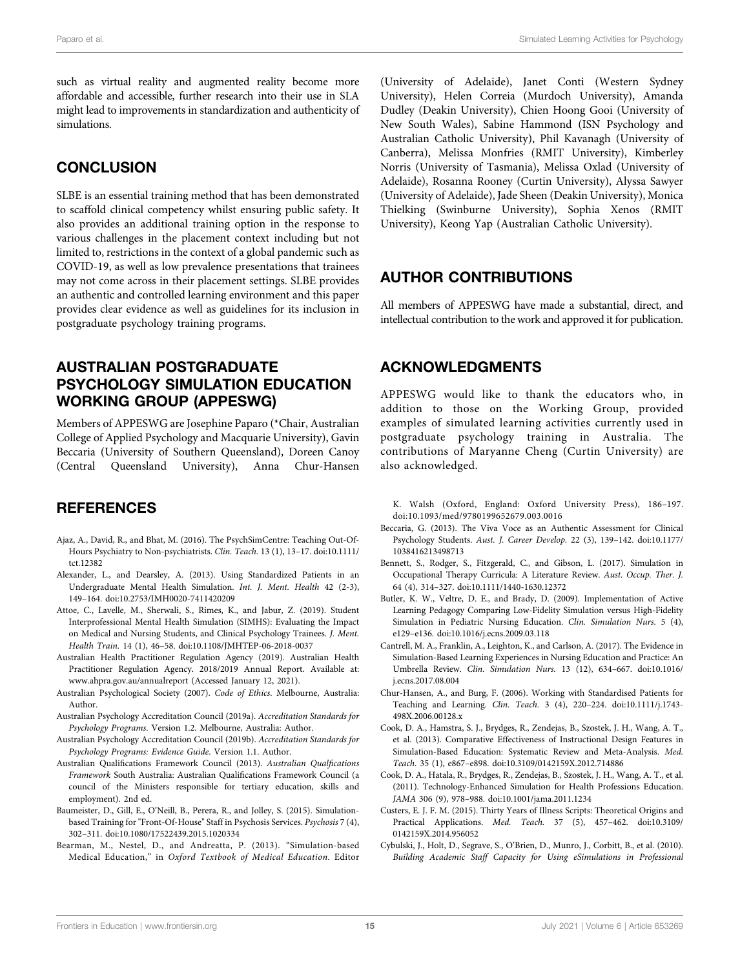such as virtual reality and augmented reality become more affordable and accessible, further research into their use in SLA might lead to improvements in standardization and authenticity of simulations.

### **CONCLUSION**

SLBE is an essential training method that has been demonstrated to scaffold clinical competency whilst ensuring public safety. It also provides an additional training option in the response to various challenges in the placement context including but not limited to, restrictions in the context of a global pandemic such as COVID-19, as well as low prevalence presentations that trainees may not come across in their placement settings. SLBE provides an authentic and controlled learning environment and this paper provides clear evidence as well as guidelines for its inclusion in postgraduate psychology training programs.

### AUSTRALIAN POSTGRADUATE PSYCHOLOGY SIMULATION EDUCATION WORKING GROUP (APPESWG)

Members of APPESWG are Josephine Paparo (\*Chair, Australian College of Applied Psychology and Macquarie University), Gavin Beccaria (University of Southern Queensland), Doreen Canoy (Central Queensland University), Anna Chur-Hansen

### **REFERENCES**

- <span id="page-14-12"></span>Ajaz, A., David, R., and Bhat, M. (2016). The PsychSimCentre: Teaching Out-Of-Hours Psychiatry to Non-psychiatrists. Clin. Teach. 13 (1), 13–17. doi:[10.1111/](https://doi.org/10.1111/tct.12382) [tct.12382](https://doi.org/10.1111/tct.12382)
- <span id="page-14-15"></span>Alexander, L., and Dearsley, A. (2013). Using Standardized Patients in an Undergraduate Mental Health Simulation. Int. J. Ment. Health 42 (2-3), 149–164. doi:[10.2753/IMH0020-7411420209](https://doi.org/10.2753/IMH0020-7411420209)
- <span id="page-14-17"></span>Attoe, C., Lavelle, M., Sherwali, S., Rimes, K., and Jabur, Z. (2019). Student Interprofessional Mental Health Simulation (SIMHS): Evaluating the Impact on Medical and Nursing Students, and Clinical Psychology Trainees. J. Ment. Health Train. 14 (1), 46–58. doi:[10.1108/JMHTEP-06-2018-0037](https://doi.org/10.1108/JMHTEP-06-2018-0037)
- <span id="page-14-1"></span>Australian Health Practitioner Regulation Agency (2019). Australian Health Practitioner Regulation Agency. 2018/2019 Annual Report. Available at: [www.ahpra.gov.au/annualreport](http://www.ahpra.gov.au/annualreport) (Accessed January 12, 2021).
- <span id="page-14-18"></span>Australian Psychological Society (2007). Code of Ethics. Melbourne, Australia: Author.
- <span id="page-14-2"></span>Australian Psychology Accreditation Council (2019a). Accreditation Standards for Psychology Programs. Version 1.2. Melbourne, Australia: Author.
- <span id="page-14-3"></span>Australian Psychology Accreditation Council (2019b). Accreditation Standards for Psychology Programs: Evidence Guide. Version 1.1. Author.
- <span id="page-14-0"></span>Australian Qualifications Framework Council (2013). Australian Qualfications Framework South Australia: Australian Qualifications Framework Council (a council of the Ministers responsible for tertiary education, skills and employment). 2nd ed.
- <span id="page-14-13"></span>Baumeister, D., Gill, E., O'Neill, B., Perera, R., and Jolley, S. (2015). Simulationbased Training for "Front-Of-House" Staff in Psychosis Services. Psychosis 7 (4), 302–311. doi:[10.1080/17522439.2015.1020334](https://doi.org/10.1080/17522439.2015.1020334)
- <span id="page-14-4"></span>Bearman, M., Nestel, D., and Andreatta, P. (2013). "Simulation-based Medical Education," in Oxford Textbook of Medical Education. Editor

(University of Adelaide), Janet Conti (Western Sydney University), Helen Correia (Murdoch University), Amanda Dudley (Deakin University), Chien Hoong Gooi (University of New South Wales), Sabine Hammond (ISN Psychology and Australian Catholic University), Phil Kavanagh (University of Canberra), Melissa Monfries (RMIT University), Kimberley Norris (University of Tasmania), Melissa Oxlad (University of Adelaide), Rosanna Rooney (Curtin University), Alyssa Sawyer (University of Adelaide), Jade Sheen (Deakin University), Monica Thielking (Swinburne University), Sophia Xenos (RMIT University), Keong Yap (Australian Catholic University).

### AUTHOR CONTRIBUTIONS

All members of APPESWG have made a substantial, direct, and intellectual contribution to the work and approved it for publication.

### ACKNOWLEDGMENTS

APPESWG would like to thank the educators who, in addition to those on the Working Group, provided examples of simulated learning activities currently used in postgraduate psychology training in Australia. The contributions of Maryanne Cheng (Curtin University) are also acknowledged.

K. Walsh (Oxford, England: Oxford University Press), 186–197. doi[:10.1093/med/9780199652679.003.0016](https://doi.org/10.1093/med/9780199652679.003.0016)

- <span id="page-14-16"></span>Beccaria, G. (2013). The Viva Voce as an Authentic Assessment for Clinical Psychology Students. Aust. J. Career Develop. 22 (3), 139–142. doi[:10.1177/](https://doi.org/10.1177/1038416213498713) [1038416213498713](https://doi.org/10.1177/1038416213498713)
- <span id="page-14-14"></span>Bennett, S., Rodger, S., Fitzgerald, C., and Gibson, L. (2017). Simulation in Occupational Therapy Curricula: A Literature Review. Aust. Occup. Ther. J. 64 (4), 314–327. doi[:10.1111/1440-1630.12372](https://doi.org/10.1111/1440-1630.12372)
- <span id="page-14-5"></span>Butler, K. W., Veltre, D. E., and Brady, D. (2009). Implementation of Active Learning Pedagogy Comparing Low-Fidelity Simulation versus High-Fidelity Simulation in Pediatric Nursing Education. Clin. Simulation Nurs. 5 (4), e129–e136. doi:[10.1016/j.ecns.2009.03.118](https://doi.org/10.1016/j.ecns.2009.03.118)
- <span id="page-14-9"></span>Cantrell, M. A., Franklin, A., Leighton, K., and Carlson, A. (2017). The Evidence in Simulation-Based Learning Experiences in Nursing Education and Practice: An Umbrella Review. Clin. Simulation Nurs. 13 (12), 634–667. doi[:10.1016/](https://doi.org/10.1016/j.ecns.2017.08.004) [j.ecns.2017.08.004](https://doi.org/10.1016/j.ecns.2017.08.004)
- <span id="page-14-10"></span>Chur-Hansen, A., and Burg, F. (2006). Working with Standardised Patients for Teaching and Learning. Clin. Teach. 3 (4), 220–224. doi:[10.1111/j.1743-](https://doi.org/10.1111/j.1743-498X.2006.00128.x) [498X.2006.00128.x](https://doi.org/10.1111/j.1743-498X.2006.00128.x)
- <span id="page-14-11"></span>Cook, D. A., Hamstra, S. J., Brydges, R., Zendejas, B., Szostek, J. H., Wang, A. T., et al. (2013). Comparative Effectiveness of Instructional Design Features in Simulation-Based Education: Systematic Review and Meta-Analysis. Med. Teach. 35 (1), e867–e898. doi[:10.3109/0142159X.2012.714886](https://doi.org/10.3109/0142159X.2012.714886)
- <span id="page-14-8"></span>Cook, D. A., Hatala, R., Brydges, R., Zendejas, B., Szostek, J. H., Wang, A. T., et al. (2011). Technology-Enhanced Simulation for Health Professions Education. JAMA 306 (9), 978–988. doi[:10.1001/jama.2011.1234](https://doi.org/10.1001/jama.2011.1234)
- <span id="page-14-7"></span>Custers, E. J. F. M. (2015). Thirty Years of Illness Scripts: Theoretical Origins and Practical Applications. Med. Teach. 37 (5), 457–462. doi[:10.3109/](https://doi.org/10.3109/0142159X.2014.956052) [0142159X.2014.956052](https://doi.org/10.3109/0142159X.2014.956052)
- <span id="page-14-6"></span>Cybulski, J., Holt, D., Segrave, S., O'Brien, D., Munro, J., Corbitt, B., et al. (2010). Building Academic Staff Capacity for Using eSimulations in Professional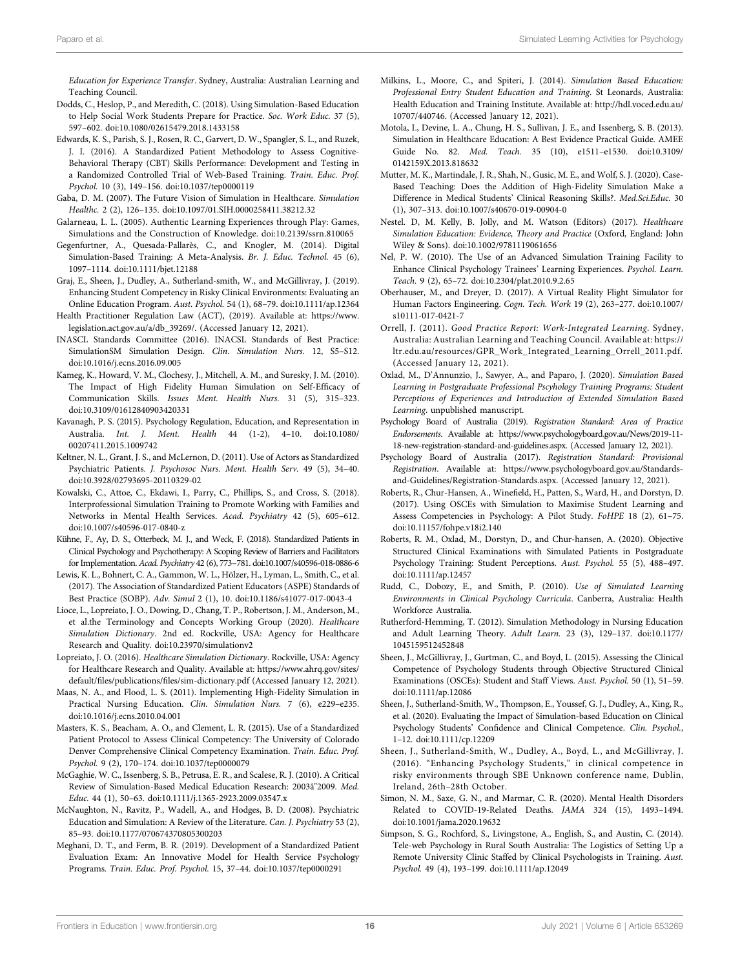Education for Experience Transfer. Sydney, Australia: Australian Learning and Teaching Council.

- <span id="page-15-21"></span>Dodds, C., Heslop, P., and Meredith, C. (2018). Using Simulation-Based Education to Help Social Work Students Prepare for Practice. Soc. Work Educ. 37 (5), 597–602. doi:[10.1080/02615479.2018.1433158](https://doi.org/10.1080/02615479.2018.1433158)
- <span id="page-15-25"></span>Edwards, K. S., Parish, S. J., Rosen, R. C., Garvert, D. W., Spangler, S. L., and Ruzek, J. I. (2016). A Standardized Patient Methodology to Assess Cognitive-Behavioral Therapy (CBT) Skills Performance: Development and Testing in a Randomized Controlled Trial of Web-Based Training. Train. Educ. Prof. Psychol. 10 (3), 149–156. doi:[10.1037/tep0000119](https://doi.org/10.1037/tep0000119)
- <span id="page-15-7"></span>Gaba, D. M. (2007). The Future Vision of Simulation in Healthcare. Simulation Healthc. 2 (2), 126–135. doi:[10.1097/01.SIH.0000258411.38212.32](https://doi.org/10.1097/01.SIH.0000258411.38212.32)
- <span id="page-15-8"></span>Galarneau, L. L. (2005). Authentic Learning Experiences through Play: Games, Simulations and the Construction of Knowledge. doi:[10.2139/ssrn.810065](https://doi.org/10.2139/ssrn.810065)
- <span id="page-15-19"></span>Gegenfurtner, A., Quesada-Pallarès, C., and Knogler, M. (2014). Digital Simulation-Based Training: A Meta-Analysis. Br. J. Educ. Technol. 45 (6), 1097–1114. doi[:10.1111/bjet.12188](https://doi.org/10.1111/bjet.12188)
- <span id="page-15-2"></span>Graj, E., Sheen, J., Dudley, A., Sutherland-smith, W., and McGillivray, J. (2019). Enhancing Student Competency in Risky Clinical Environments: Evaluating an Online Education Program. Aust. Psychol. 54 (1), 68–79. doi:[10.1111/ap.12364](https://doi.org/10.1111/ap.12364)
- <span id="page-15-3"></span>Health Practitioner Regulation Law (ACT), (2019). Available at: [https://www.](https://www.legislation.act.gov.au/a/db_39269/) [legislation.act.gov.au/a/db\\_39269/.](https://www.legislation.act.gov.au/a/db_39269/) (Accessed January 12, 2021).
- <span id="page-15-37"></span>INASCL Standards Committee (2016). INACSL Standards of Best Practice: SimulationSM Simulation Design. Clin. Simulation Nurs. 12, S5–S12. doi:[10.1016/j.ecns.2016.09.005](https://doi.org/10.1016/j.ecns.2016.09.005)
- <span id="page-15-10"></span>Kameg, K., Howard, V. M., Clochesy, J., Mitchell, A. M., and Suresky, J. M. (2010). The Impact of High Fidelity Human Simulation on Self-Efficacy of Communication Skills. Issues Ment. Health Nurs. 31 (5), 315–323. doi:[10.3109/01612840903420331](https://doi.org/10.3109/01612840903420331)
- <span id="page-15-38"></span>Kavanagh, P. S. (2015). Psychology Regulation, Education, and Representation in Australia. Int. J. Ment. Health 44 (1-2), 4–10. doi:[10.1080/](https://doi.org/10.1080/00207411.2015.1009742) [00207411.2015.1009742](https://doi.org/10.1080/00207411.2015.1009742)
- <span id="page-15-23"></span>Keltner, N. L., Grant, J. S., and McLernon, D. (2011). Use of Actors as Standardized Psychiatric Patients. J. Psychosoc Nurs. Ment. Health Serv. 49 (5), 34–40. doi:[10.3928/02793695-20110329-02](https://doi.org/10.3928/02793695-20110329-02)
- <span id="page-15-34"></span>Kowalski, C., Attoe, C., Ekdawi, I., Parry, C., Phillips, S., and Cross, S. (2018). Interprofessional Simulation Training to Promote Working with Families and Networks in Mental Health Services. Acad. Psychiatry 42 (5), 605–612. doi:[10.1007/s40596-017-0840-z](https://doi.org/10.1007/s40596-017-0840-z)
- <span id="page-15-16"></span>Kühne, F., Ay, D. S., Otterbeck, M. J., and Weck, F. (2018). Standardized Patients in Clinical Psychology and Psychotherapy: A Scoping Review of Barriers and Facilitators for Implementation. Acad. Psychiatry 42 (6), 773–781. doi[:10.1007/s40596-018-0886-6](https://doi.org/10.1007/s40596-018-0886-6)
- <span id="page-15-28"></span>Lewis, K. L., Bohnert, C. A., Gammon, W. L., Hölzer, H., Lyman, L., Smith, C., et al. (2017). The Association of Standardized Patient Educators (ASPE) Standards of Best Practice (SOBP). Adv. Simul 2 (1), 10. doi:[10.1186/s41077-017-0043-4](https://doi.org/10.1186/s41077-017-0043-4)
- <span id="page-15-6"></span>Lioce, L., Lopreiato, J. O., Dowing, D., Chang, T. P., Robertson, J. M., Anderson, M., et al.the Terminology and Concepts Working Group (2020). Healthcare Simulation Dictionary. 2nd ed. Rockville, USA: Agency for Healthcare Research and Quality. doi:[10.23970/simulationv2](https://doi.org/10.23970/simulationv2)
- <span id="page-15-27"></span>Lopreiato, J. O. (2016). Healthcare Simulation Dictionary. Rockville, USA: Agency for Healthcare Research and Quality. Available at: [https://www.ahrq.gov/sites/](https://www.ahrq.gov/sites/default/files/publications/files/sim-dictionary.pdf) default/files/publications/fi[les/sim-dictionary.pdf](https://www.ahrq.gov/sites/default/files/publications/files/sim-dictionary.pdf) (Accessed January 12, 2021).
- <span id="page-15-11"></span>Maas, N. A., and Flood, L. S. (2011). Implementing High-Fidelity Simulation in Practical Nursing Education. Clin. Simulation Nurs. 7 (6), e229–e235. doi:[10.1016/j.ecns.2010.04.001](https://doi.org/10.1016/j.ecns.2010.04.001)
- <span id="page-15-24"></span>Masters, K. S., Beacham, A. O., and Clement, L. R. (2015). Use of a Standardized Patient Protocol to Assess Clinical Competency: The University of Colorado Denver Comprehensive Clinical Competency Examination. Train. Educ. Prof. Psychol. 9 (2), 170–174. doi:[10.1037/tep0000079](https://doi.org/10.1037/tep0000079)
- <span id="page-15-18"></span>McGaghie, W. C., Issenberg, S. B., Petrusa, E. R., and Scalese, R. J. (2010). A Critical Review of Simulation-Based Medical Education Research: 2003â"2009. Med. Educ. 44 (1), 50–63. doi[:10.1111/j.1365-2923.2009.03547.x](https://doi.org/10.1111/j.1365-2923.2009.03547.x)
- <span id="page-15-9"></span>McNaughton, N., Ravitz, P., Wadell, A., and Hodges, B. D. (2008). Psychiatric Education and Simulation: A Review of the Literature. Can. J. Psychiatry 53 (2), 85–93. doi:[10.1177/070674370805300203](https://doi.org/10.1177/070674370805300203)
- <span id="page-15-26"></span>Meghani, D. T., and Ferm, B. R. (2019). Development of a Standardized Patient Evaluation Exam: An Innovative Model for Health Service Psychology Programs. Train. Educ. Prof. Psychol. 15, 37–44. doi:[10.1037/tep0000291](https://doi.org/10.1037/tep0000291)
- <span id="page-15-12"></span>Milkins, L., Moore, C., and Spiteri, J. (2014). Simulation Based Education: Professional Entry Student Education and Training. St Leonards, Australia: Health Education and Training Institute. Available at: [http://hdl.voced.edu.au/](http://hdl.voced.edu.au/10707/440746) [10707/440746.](http://hdl.voced.edu.au/10707/440746) (Accessed January 12, 2021).
- <span id="page-15-20"></span>Motola, I., Devine, L. A., Chung, H. S., Sullivan, J. E., and Issenberg, S. B. (2013). Simulation in Healthcare Education: A Best Evidence Practical Guide. AMEE Guide No. 82. Med. Teach. 35 (10), e1511–e1530. doi[:10.3109/](https://doi.org/10.3109/0142159X.2013.818632) [0142159X.2013.818632](https://doi.org/10.3109/0142159X.2013.818632)
- <span id="page-15-17"></span>Mutter, M. K., Martindale, J. R., Shah, N., Gusic, M. E., and Wolf, S. J. (2020). Case-Based Teaching: Does the Addition of High-Fidelity Simulation Make a Difference in Medical Students' Clinical Reasoning Skills?. Med.Sci.Educ. 30 (1), 307–313. doi:[10.1007/s40670-019-00904-0](https://doi.org/10.1007/s40670-019-00904-0)
- <span id="page-15-13"></span>Nestel. D, M. Kelly, B. Jolly, and M. Watson (Editors) (2017). Healthcare Simulation Education: Evidence, Theory and Practice (Oxford, England: John Wiley & Sons). doi:[10.1002/9781119061656](https://doi.org/10.1002/9781119061656)
- <span id="page-15-32"></span>Nel, P. W. (2010). The Use of an Advanced Simulation Training Facility to Enhance Clinical Psychology Trainees' Learning Experiences. Psychol. Learn. Teach. 9 (2), 65–72. doi[:10.2304/plat.2010.9.2.65](https://doi.org/10.2304/plat.2010.9.2.65)
- <span id="page-15-31"></span>Oberhauser, M., and Dreyer, D. (2017). A Virtual Reality Flight Simulator for Human Factors Engineering. Cogn. Tech. Work 19 (2), 263–277. doi[:10.1007/](https://doi.org/10.1007/s10111-017-0421-7) [s10111-017-0421-7](https://doi.org/10.1007/s10111-017-0421-7)
- <span id="page-15-15"></span>Orrell, J. (2011). Good Practice Report: Work-Integrated Learning. Sydney, Australia: Australian Learning and Teaching Council. Available at: [https://](https://ltr.edu.au/resources/GPR_Work_Integrated_Learning_Orrell_2011.pdf) [ltr.edu.au/resources/GPR\\_Work\\_Integrated\\_Learning\\_Orrell\\_2011.pdf.](https://ltr.edu.au/resources/GPR_Work_Integrated_Learning_Orrell_2011.pdf) (Accessed January 12, 2021).
- <span id="page-15-39"></span>Oxlad, M., D'Annunzio, J., Sawyer, A., and Paparo, J. (2020). Simulation Based Learning in Postgraduate Professional Pscyhology Training Programs: Student Perceptions of Experiences and Introduction of Extended Simulation Based Learning. unpublished manuscript.
- <span id="page-15-4"></span>Psychology Board of Australia (2019). Registration Standard: Area of Practice Endorsements. Available at: [https://www.psychologyboard.gov.au/News/2019-11-](https://www.psychologyboard.gov.au/News/2019-11-18-new-registration-standard-and-guidelines.aspx) [18-new-registration-standard-and-guidelines.aspx](https://www.psychologyboard.gov.au/News/2019-11-18-new-registration-standard-and-guidelines.aspx). (Accessed January 12, 2021).
- <span id="page-15-5"></span>Psychology Board of Australia (2017). Registration Standard: Provisional Registration. Available at: [https://www.psychologyboard.gov.au/Standards](https://www.psychologyboard.gov.au/Standards-and-Guidelines/Registration-Standards.aspx)[and-Guidelines/Registration-Standards.aspx.](https://www.psychologyboard.gov.au/Standards-and-Guidelines/Registration-Standards.aspx) (Accessed January 12, 2021).
- <span id="page-15-36"></span>Roberts, R., Chur-Hansen, A., Winefield, H., Patten, S., Ward, H., and Dorstyn, D. (2017). Using OSCEs with Simulation to Maximise Student Learning and Assess Competencies in Psychology: A Pilot Study. FoHPE 18 (2), 61–75. doi[:10.11157/fohpe.v18i2.140](https://doi.org/10.11157/fohpe.v18i2.140)
- <span id="page-15-35"></span>Roberts, R. M., Oxlad, M., Dorstyn, D., and Chur-hansen, A. (2020). Objective Structured Clinical Examinations with Simulated Patients in Postgraduate Psychology Training: Student Perceptions. Aust. Psychol. 55 (5), 488–497. doi[:10.1111/ap.12457](https://doi.org/10.1111/ap.12457)
- <span id="page-15-1"></span>Rudd, C., Dobozy, E., and Smith, P. (2010). Use of Simulated Learning Environments in Clinical Psychology Curricula. Canberra, Australia: Health Workforce Australia.
- <span id="page-15-22"></span>Rutherford-Hemming, T. (2012). Simulation Methodology in Nursing Education and Adult Learning Theory. Adult Learn. 23 (3), 129–137. doi[:10.1177/](https://doi.org/10.1177/1045159512452848) [1045159512452848](https://doi.org/10.1177/1045159512452848)
- <span id="page-15-14"></span>Sheen, J., McGillivray, J., Gurtman, C., and Boyd, L. (2015). Assessing the Clinical Competence of Psychology Students through Objective Structured Clinical Examinations (OSCEs): Student and Staff Views. Aust. Psychol. 50 (1), 51–59. doi[:10.1111/ap.12086](https://doi.org/10.1111/ap.12086)
- <span id="page-15-33"></span>Sheen, J., Sutherland-Smith, W., Thompson, E., Youssef, G. J., Dudley, A., King, R., et al. (2020). Evaluating the Impact of Simulation-based Education on Clinical Psychology Students' Confidence and Clinical Competence. Clin. Psychol., 1–12. doi[:10.1111/cp.12209](https://doi.org/10.1111/cp.12209)
- <span id="page-15-29"></span>Sheen, J., Sutherland-Smith, W., Dudley, A., Boyd, L., and McGillivray, J. (2016). "Enhancing Psychology Students," in clinical competence in risky environments through SBE Unknown conference name, Dublin, Ireland, 26th–28th October.
- <span id="page-15-0"></span>Simon, N. M., Saxe, G. N., and Marmar, C. R. (2020). Mental Health Disorders Related to COVID-19-Related Deaths. JAMA 324 (15), 1493–1494. doi[:10.1001/jama.2020.19632](https://doi.org/10.1001/jama.2020.19632)
- <span id="page-15-30"></span>Simpson, S. G., Rochford, S., Livingstone, A., English, S., and Austin, C. (2014). Tele-web Psychology in Rural South Australia: The Logistics of Setting Up a Remote University Clinic Staffed by Clinical Psychologists in Training. Aust. Psychol. 49 (4), 193–199. doi[:10.1111/ap.12049](https://doi.org/10.1111/ap.12049)